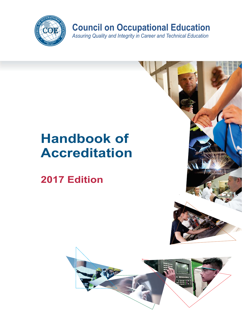

**Council on Occupational Education** *Assuring Quality and Integrity in Career and Technical Education*

# **Handbook of Accreditation**

**2017 Edition**

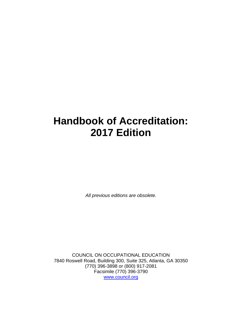# **Handbook of Accreditation: 2017 Edition**

*All previous editions are obsolete.* 

COUNCIL ON OCCUPATIONAL EDUCATION 7840 Roswell Road, Building 300, Suite 325, Atlanta, GA 30350 (770) 396-3898 or (800) 917-2081 Facsimile (770) 396-3790 www.council.org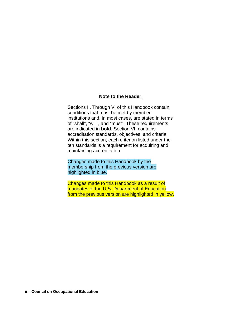### **Note to the Reader:**

Sections II. Through V. of this Handbook contain conditions that must be met by member institutions and, in most cases, are stated in terms of "shall", "will", and "must". These requirements are indicated in **bold**. Section VI. contains accreditation standards, objectives, and criteria. Within this section, each criterion listed under the ten standards is a requirement for acquiring and maintaining accreditation.

Changes made to this Handbook by the membership from the previous version are highlighted in blue.

Changes made to this Handbook as a result of mandates of the U.S. Department of Education from the previous version are highlighted in yellow.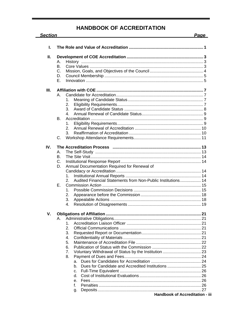# **HANDBOOK OF ACCREDITATION**

| <b>Section</b> |                                                                    | <b>Page</b> |
|----------------|--------------------------------------------------------------------|-------------|
|                |                                                                    |             |
| L              |                                                                    |             |
| Ш.             |                                                                    |             |
|                | А.                                                                 |             |
|                | В.                                                                 |             |
|                | C.                                                                 |             |
|                | D.                                                                 |             |
|                | Е.                                                                 |             |
| Ш.             |                                                                    |             |
|                | А.                                                                 |             |
|                | 1.                                                                 |             |
|                | 2.                                                                 |             |
|                | 3.                                                                 |             |
|                | 4.                                                                 |             |
|                | В.                                                                 |             |
|                | 1.                                                                 |             |
|                | $2_{-}$                                                            |             |
|                | 3.                                                                 |             |
|                |                                                                    |             |
|                | C.                                                                 |             |
| IV.            |                                                                    |             |
|                | А.                                                                 |             |
|                | В.                                                                 |             |
|                | C.                                                                 |             |
|                | Annual Documentation Required for Renewal of<br>D.                 |             |
|                |                                                                    |             |
|                | $1_{-}$                                                            |             |
|                | Audited Financial Statements from Non-Public Institutions 14<br>2. |             |
|                | Е.                                                                 |             |
|                | 1.                                                                 |             |
|                | 2.                                                                 |             |
|                | 3.                                                                 |             |
|                | 4.                                                                 |             |
|                |                                                                    |             |
| V.             |                                                                    |             |
|                | А.                                                                 |             |
|                | $1_{-}$                                                            |             |
|                | 2.                                                                 |             |
|                | 3.                                                                 |             |
|                | 4.                                                                 |             |
|                | 5.                                                                 |             |
|                | 6.                                                                 |             |
|                | 7.                                                                 |             |
|                | 8.                                                                 |             |
|                | a.                                                                 |             |
|                |                                                                    |             |
|                |                                                                    |             |
|                |                                                                    |             |
|                |                                                                    |             |
|                | f.                                                                 |             |
|                | g.                                                                 |             |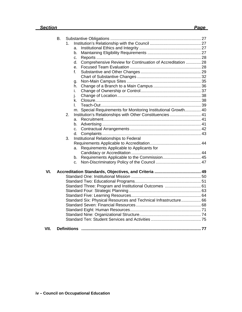|      | Β. |                                                                  |  |
|------|----|------------------------------------------------------------------|--|
|      |    | 1.                                                               |  |
|      |    | a.                                                               |  |
|      |    | b.                                                               |  |
|      |    | C.                                                               |  |
|      |    | Comprehensive Review for Continuation of Accreditation  28<br>d. |  |
|      |    | е.                                                               |  |
|      |    | f.                                                               |  |
|      |    |                                                                  |  |
|      |    | g.                                                               |  |
|      |    | h.                                                               |  |
|      |    | İ.                                                               |  |
|      |    | j.                                                               |  |
|      |    | k.                                                               |  |
|      |    | L.                                                               |  |
|      |    | m. Special Requirements for Monitoring Institutional Growth 40   |  |
|      |    | Institution's Relationships with Other Constituencies 41<br>2.   |  |
|      |    | a.                                                               |  |
|      |    |                                                                  |  |
|      |    |                                                                  |  |
|      |    |                                                                  |  |
|      |    | Institutional Relationships to Federal<br>3.                     |  |
|      |    |                                                                  |  |
|      |    | Requirements Applicable to Applicants for<br>а.                  |  |
|      |    |                                                                  |  |
|      |    |                                                                  |  |
|      |    | C.                                                               |  |
|      |    |                                                                  |  |
| VI.  |    |                                                                  |  |
|      |    |                                                                  |  |
|      |    |                                                                  |  |
|      |    | Standard Three: Program and Institutional Outcomes  61           |  |
|      |    |                                                                  |  |
|      |    |                                                                  |  |
|      |    | Standard Six: Physical Resources and Technical Infrastructure 66 |  |
|      |    |                                                                  |  |
|      |    |                                                                  |  |
|      |    |                                                                  |  |
|      |    |                                                                  |  |
| VII. |    |                                                                  |  |
|      |    |                                                                  |  |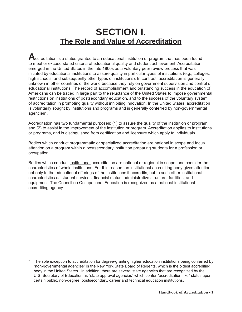# **SECTION I. The Role and Value of Accreditation**

 $\bigwedge$ ccreditation is a status granted to an educational institution or program that has been found to meet or exceed stated criteria of educational quality and student achievement. Accreditation emerged in the United States in the late 1800s as a voluntary peer review process that was initiated by educational institutions to assure quality in particular types of institutions (e.g., colleges, high schools, and subsequently other types of institutions). In contrast, accreditation is generally unknown in other countries of the world because they rely on government supervision and control of educational institutions. The record of accomplishment and outstanding success in the education of Americans can be traced in large part to the reluctance of the United States to impose governmental restrictions on institutions of postsecondary education, and to the success of the voluntary system of accreditation in promoting quality without inhibiting innovation. In the United States, accreditation is voluntarily sought by institutions and programs and is generally conferred by non-governmental agencies\*.

Accreditation has two fundamental purposes: (1) to assure the quality of the institution or program, and (2) to assist in the improvement of the institution or program. Accreditation applies to institutions or programs, and is distinguished from certification and licensure which apply to individuals.

Bodies which conduct programmatic or specialized accreditation are national in scope and focus attention on a program within a postsecondary institution preparing students for a profession or occupation.

Bodies which conduct institutional accreditation are national or regional in scope, and consider the characteristics of whole institutions. For this reason, an institutional accrediting body gives attention not only to the educational offerings of the institutions it accredits, but to such other institutional characteristics as student services, financial status, administrative structure, facilities, and equipment. The Council on Occupational Education is recognized as a national institutional accrediting agency.

\_\_\_\_\_\_\_\_\_\_\_\_\_\_\_\_\_\_\_\_

The sole exception to accreditation for degree-granting higher education institutions being conferred by "non-governmental agencies" is the New York State Board of Regents, which is the oldest accrediting body in the United States. In addition, there are several state agencies that are recognized by the U.S. Secretary of Education as "state approval agencies" which confer "accreditation-like" status upon certain public, non-degree, postsecondary, career and technical education institutions.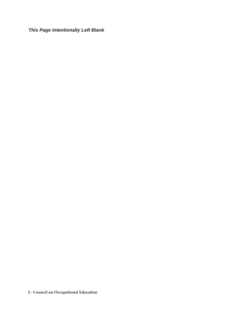*This Page Intentionally Left Blank*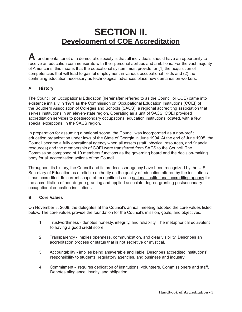# **SECTION II. Development of COE Accreditation**

 $\blacktriangle$  fundamental tenet of a democratic society is that all individuals should have an opportunity to receive an education commensurate with their personal abilities and ambitions. For the vast majority of Americans, this means that the educational system must provide for (1) the acquisition of competencies that will lead to gainful employment in various occupational fields and (2) the continuing education necessary as technological advances place new demands on workers.

# **A. History**

The Council on Occupational Education (hereinafter referred to as the Council or COE) came into existence initially in 1971 as the Commission on Occupational Education Institutions (COEI) of the Southern Association of Colleges and Schools (SACS), a regional accrediting association that serves institutions in an eleven-state region. Operating as a unit of SACS, COEI provided accreditation services to postsecondary occupational education institutions located, with a few special exceptions, in the SACS region.

In preparation for assuming a national scope, the Council was incorporated as a non-profit education organization under laws of the State of Georgia in June 1994. At the end of June 1995, the Council became a fully operational agency when all assets (staff, physical resources, and financial resources) and the membership of COEI were transferred from SACS to the Council. The Commission composed of 19 members functions as the governing board and the decision-making body for all accreditation actions of the Council.

Throughout its history, the Council and its predecessor agency have been recognized by the U.S. Secretary of Education as a reliable authority on the quality of education offered by the institutions it has accredited. Its current scope of recognition is as a national institutional accrediting agency for the accreditation of non-degree-granting and applied associate degree-granting postsecondary occupational education institutions.

### **B. Core Values**

On November 8, 2008, the delegates at the Council's annual meeting adopted the core values listed below. The core values provide the foundation for the Council's mission, goals, and objectives.

- 1. Trustworthiness denotes honesty, integrity, and reliability. The metaphorical equivalent to having a good credit score.
- 2. Transparency implies openness, communication, and clear visibility. Describes an accreditation process or status that is not secretive or mystical.
- 3. Accountability implies being answerable and liable. Describes accredited institutions' responsibility to students, regulatory agencies, and business and industry.
- 4. Commitment requires dedication of institutions, volunteers, Commissioners and staff. Denotes allegiance, loyalty, and obligation.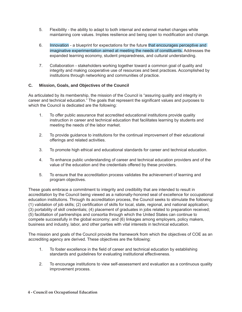- 5. Flexibility the ability to adapt to both internal and external market changes while maintaining core values. Implies resilience and being open to modification and change.
- 6. Innovation a blueprint for expectations for the future that encourages perceptive and imaginative experimentation aimed at meeting the needs of constituents. Addresses the expanded learning economy, student preparedness, and cultural understanding.
- 7. Collaboration stakeholders working together toward a common goal of quality and integrity and making cooperative use of resources and best practices. Accomplished by institutions through networking and communities of practice.

### **C. Mission, Goals, and Objectives of the Council**

As articulated by its membership, the mission of the Council is "assuring quality and integrity in career and technical education." The goals that represent the significant values and purposes to which the Council is dedicated are the following:

- 1. To offer public assurance that accredited educational institutions provide quality instruction in career and technical education that facilitates learning by students and meeting the needs of the labor market.
- 2. To provide guidance to institutions for the continual improvement of their educational offerings and related activities.
- 3. To promote high ethical and educational standards for career and technical education.
- 4. To enhance public understanding of career and technical education providers and of the value of the education and the credentials offered by these providers.
- 5. To ensure that the accreditation process validates the achievement of learning and program objectives.

These goals embrace a commitment to integrity and credibility that are intended to result in accreditation by the Council being viewed as a nationally-honored seal of excellence for occupational education institutions. Through its accreditation process, the Council seeks to stimulate the following:  $(1)$  validation of job skills;  $(2)$  certification of skills for local, state, regional, and national application; (3) portability of skill credentials; (4) placement of graduates in jobs related to preparation received; (5) facilitation of partnerships and consortia through which the United States can continue to compete successfully in the global economy; and (6) linkages among employers, policy makers, business and industry, labor, and other parties with vital interests in technical education.

The mission and goals of the Council provide the framework from which the objectives of COE as an accrediting agency are derived. These objectives are the following:

- 1. To foster excellence in the field of career and technical education by establishing standards and guidelines for evaluating institutional effectiveness.
- 2. To encourage institutions to view self-assessment and evaluation as a continuous quality improvement process.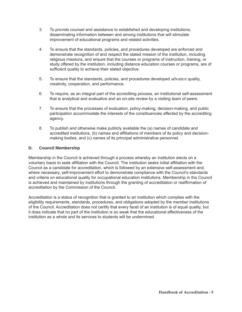- 3. To provide counsel and assistance to established and developing institutions, disseminating information between and among institutions that will stimulate improvement of educational programs and related activities.
- 4. To ensure that the standards, policies, and procedures developed are enforced and demonstrate recognition of and respect the stated mission of the institution, including religious missions, and ensure that the courses or programs of instruction, training, or study offered by the institution, including distance education courses or programs, are of sufficient quality to achieve their stated objective.
- 5. To ensure that the standards, policies, and procedures developed advance quality, creativity, cooperation, and performance.
- 6. To require, as an integral part of the accrediting process, an institutional self-assessment that is analytical and evaluative and an on-site review by a visiting team of peers.
- 7. To ensure that the processes of evaluation, policy-making, decision-making, and public participation accommodate the interests of the constituencies affected by the accrediting agency.
- 8. To publish and otherwise make publicly available the (a) names of candidate and accredited institutions, (b) names and affiliations of members of its policy and decisionmaking bodies, and (c) names of its principal administrative personnel.

#### **D. Council Membership**

Membership in the Council is achieved through a process whereby an institution elects on a voluntary basis to seek affiliation with the Council. The institution seeks initial affiliation with the Council as a candidate for accreditation, which is followed by an extensive self-assessment and, where necessary, self-improvement effort to demonstrate compliance with the Council's standards and criteria on educational quality for occupational education institutions. Membership in the Council is achieved and maintained by institutions through the granting of accreditation or reaffirmation of accreditation by the Commission of the Council.

Accreditation is a status of recognition that is granted to an institution which complies with the eligibility requirements, standards, procedures, and obligations adopted by the member institutions of the Council. Accreditation does not certify that every facet of an institution is of equal quality, but it does indicate that no part of the institution is so weak that the educational effectiveness of the institution as a whole and its services to students will be undermined.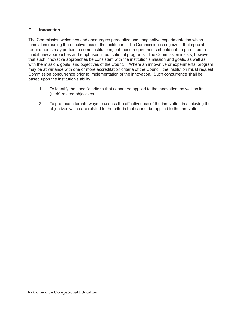#### **E. Innovation**

The Commission welcomes and encourages perceptive and imaginative experimentation which aims at increasing the effectiveness of the institution. The Commission is cognizant that special requirements may pertain to some institutions; but these requirements should not be permitted to inhibit new approaches and emphases in educational programs. The Commission insists, however, that such innovative approaches be consistent with the institution's mission and goals, as well as with the mission, goals, and objectives of the Council. Where an innovative or experimental program may be at variance with one or more accreditation criteria of the Council, the institution **must** request Commission concurrence prior to implementation of the innovation. Such concurrence shall be based upon the institution's ability:

- 1. To identify the specific criteria that cannot be applied to the innovation, as well as its (their) related objectives.
- 2. To propose alternate ways to assess the effectiveness of the innovation in achieving the objectives which are related to the criteria that cannot be applied to the innovation.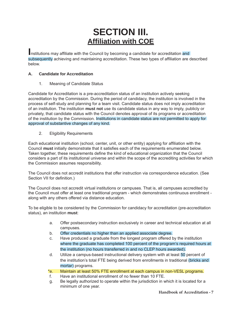# **SECTION III. Affiliation with COE**

**Institutions may affiliate with the Council by becoming a candidate for accreditation and** subsequently achieving and maintaining accreditation. These two types of affiliation are described below.

# **A. Candidate for Accreditation**

1. Meaning of Candidate Status

Candidate for Accreditation is a pre-accreditation status of an institution actively seeking accreditation by the Commission. During the period of candidacy, the institution is involved in the process of self-study and planning for a team visit. Candidate status does not imply accreditation of an institution. The institution **must not** use its candidate status in any way to imply, publicly or privately, that candidate status with the Council denotes approval of its programs or accreditation of the institution by the Commission. Institutions in candidate status are not permitted to apply for approval of substantive changes of any kind.

2. Eligibility Requirements

Each educational institution (school, center, unit, or other entity) applying for affiliation with the Council must initially demonstrate that it satisfies each of the requirements enumerated below. Taken together, these requirements define the kind of educational organization that the Council considers a part of its institutional universe and within the scope of the accrediting activities for which the Commission assumes responsibility.

The Council does not accredit institutions that offer instruction via correspondence education. (See Section VII for definition.)

The Council does not accredit virtual institutions or campuses. That is, all campuses accredited by the Council must offer at least one traditional program - which demonstrates continuous enrollment along with any others offered via distance education.

To be eligible to be considered by the Commission for candidacy for accreditation (pre-accreditation status), an institution **must**:

- a. Offer postsecondary instruction exclusively in career and technical education at all campuses.
- b. Offer credentials no higher than an applied associate degree.
- c. Have produced a graduate from the longest program offered by the institution where the graduate has completed 100 percent of the program's required hours at the institution (no hours transferred in and no CLEP hours awarded).
- d. Utilize a campus-based instructional delivery system with at least 50 percent of the institution's total FTE being derived from enrollments in traditional (bricks and mortar) programs.
- \*e. Maintain at least 50% FTE enrollment at each campus in non-VESL programs.
- f. Have an institutional enrollment of no fewer than 10 FTE.
- g. Be legally authorized to operate within the jurisdiction in which it is located for a minimum of one year.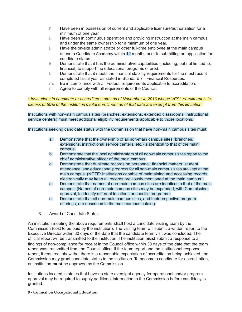- h. Have been in possession of current and applicable licensure/authorization for a minimum of one year.
- i. Have been in continuous operation and providing instruction at the main campus and under the same ownership for a minimum of one year.
- j. Have the on-site administrator or other full-time employee at the main campus attend a Candidate Academy within 12 months prior to submitting an application for candidate status.
- k. Demonstrate that it has the administrative capabilities (including, but not limited to, financial) to support the educational programs offered.
- I. Demonstrate that it meets the financial stability requirements for the most recent completed fiscal year as stated in Standard 7 - Financial Resources.
- m. Be in compliance with all Federal requirements applicable to accreditation.
- n. Agree to comply with all requirements of the Council.

*\* Institutions in candidate or accredited status as of November 4, 2016 whose VESL enrollment is in excess of 50% of the institution's total enrollment as of that date are exempt from this limitation.*

Institutions with non-main campus sites (branches, extensions, extended classrooms, instructional service centers) must meet additional eligibility requirements applicable to those locations.

Institutions seeking candidate status with the Commission that have non-main campus sites must:

- a. Demonstrate that the ownership of all non-main campus sites (branches, extensions, instructional service centers, etc.) is identical to that of the main campus.
- b. Demonstrate that the local administrators of all non-main campus sites report to the chief administrative officer of the main campus.
- c. Demonstrate that duplicate records on personnel, financial matters, student attendance, and educational progress for all non-main campus sites are kept at the main campus. (NOTE: Institutions capable of maintaining and accessing records electronically may keep all records previously mentioned at the main campus.)
- d. Demonstrate that names of non-main campus sites are identical to that of the main campus. (Names of non-main campus sites may be expanded, with Commission approval, to identify different locations or specific programs.)
- e. Demonstrate that all non-main campus sites, and their respective program offerings, are described in the main campus catalog.
- 3. Award of Candidate Status

An institution meeting the above requirements **shall** host a candidate visiting team by the Commission (cost to be paid by the institution). The visiting team will submit a written report to the Executive Director within 30 days of the date that the candidate team visit was concluded. The official report will be transmitted to the institution. The institution must submit a response to all findings of non-compliance for receipt in the Council office within 30 days of the date that the team report was transmitted from the Council office. If the team report and the institutional response report, if required, show that there is a reasonable expectation of accreditation being achieved, the Commission may grant candidate status to the institution. To become a candidate for accreditation, an institution **must** be approved by the Commission.

Institutions located in states that have no state oversight agency for operational and/or program approval may be required to supply additional information to the Commission before candidacy is granted.

**8 - Council on Occupational Education**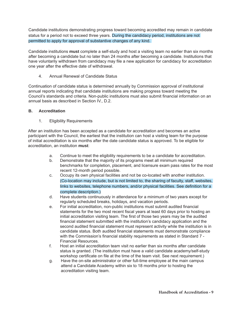Candidate institutions demonstrating progress toward be coming accredited may remain in candidate status for a period not to exceed three years. During the candidacy period, institutions are not permitted to apply for approval of substantive changes of any kind.

Candidate institutions **must** complete a self-study and host a visiting team no earlier than six months after becoming a candidate but no later than 24 months after becoming a candidate. Institutions that have voluntarily withdrawn from candidacy may file a new application for candidacy for accreditation one year after the effective date of withdrawal.

4. Annual Renewal of Candidate Status

Continuation of candidate status is determined annually by Commission approval of institutional annual reports indicating that candidate institutions are making progress toward meeting the Council's standards and criteria. Non-public institutions must also submit financial information on an annual basis as described in Section IV., D.2.

#### **B. Accreditation**

1. Eligibility Requirements

After an institution has been accepted as a candidate for accreditation and becomes an active participant with the Council, the earliest that the institution can host a visiting team for the purpose of initial accreditation is six months after the date candidate status is approved. To be eligible for accreditation, an institution **must**:

- a. Continue to meet the eligibility requirements to be a candidate for accreditation.
- b. Demonstrate that the majority of its programs meet all minimum required benchmarks for completion, placement, and licensure exam pass rates for the most recent 12-month period possible.
- c. Occupy its own physical facilities and not be co-located with another institution. (Co-location may include, but is not limited to, the sharing of faculty, staff, websites, links to websites, telephone numbers, and/or physical facilities. See definition for a complete description.)
- d. Have students continuously in attendance for a minimum of two years except for regularly scheduled breaks, holidays, and vacation periods.
- e. For initial accreditation, non-public institutions must submit audited financial statements for the two most recent fiscal years at least 60 days prior to hosting an initial accreditation visiting team. The first of those two years may be the audited financial statement submitted with the institution's candidacy application and the second audited financial statement must represent activity while the institution is in candidate status. Both audited financial statements must demonstrate compliance with the Commission's financial stability requirements as stated in Standard 7 -Financial Resources.
- f. Host an initial accreditation team visit no earlier than six months after candidate status is granted. (The institution must have a valid candidate academy/self-study workshop certificate on file at the time of the team visit. See next requirement.)
- g. Have the on-site administrator or other full-time employee at the main campus attend a Candidate Academy within six to 18 months prior to hosting the accreditation visiting team.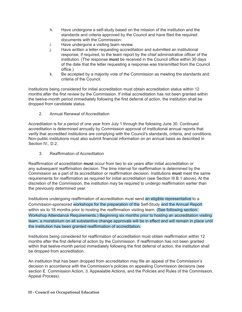- h. Have undergone a self-study based on the mission of the institution and the standards and criteria approved by the Council and have filed the required documents with the Commission.
- i. Have undergone a visiting team review.
- j. Have written a letter requesting accreditation and submitted an institutional response, if required, to the team report by the chief administrative officer of the institution. (The response must be received in the Council office within 30 days of the date that the letter requesting a response was transmitted from the Council office.)
- k. Be accepted by a majority vote of the Commission as meeting the standards and criteria of the Council.

Institutions being considered for initial accreditation must obtain accreditation status within 12 months after the first review by the Commission. If initial accreditation has not been granted within the twelve-month period immediately following the first deferral of action, the institution shall be dropped from candidate status.

2. Annual Renewal of Accreditation

Accreditation is for a period of one year from July 1 through the following June 30. Continued accreditation is determined annually by Commission approval of institutional annual reports that verify that accredited institutions are complying with the Council's standards, criteria, and conditions. Non-public institutions must also submit financial information on an annual basis as described in Section IV., D.2.

3. Reaffirmation of Accreditation

Reaffirmation of accreditation **must** occur from two to six years after initial accreditation or any subsequent reaffirmation decision. The time interval for reaffirmation is determined by the Commission as a part of its accreditation or reaffirmation decision. Institutions **must** meet the same requirements for reaffirmation as required for initial accreditation (see Section III.B.1 above). At the discretion of the Commission, the institution may be required to undergo reaffirmation earlier than the previously determined year.

Institutions undergoing reaffirmation of accreditation must send an eligible representative to a Commission-sponsored workshops for the preparation of the Self-Study and the Annual Report within six to 18 months prior to hosting the reaffirmation visiting team. (See following section: Workshop Attendance Requirements.) Beginning six months prior to hosting an accreditation visiting team, a moratorium on all substantive change approvals will be in effect and will remain in place until the institution has been granted reaffirmation of accreditation.

Institutions being considered for reaffirmation of accreditation must obtain reaffirmation within 12 months after the first deferral of action by the Commission. If reaffirmation has not been granted within that twelve-month period immediately following the first deferral of action, the institution shall be dropped from accreditation.

An institution that has been dropped from accreditation may file an appeal of the Commission's decision in accordance with the Commission's policies on appealing Commission decisions (see section E. Commission Action, 3. Appealable Actions, and the Policies and Rules of the Commission, Appeal Process).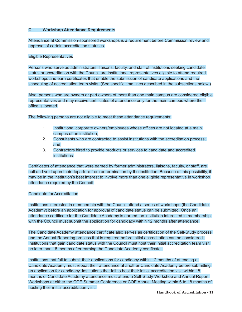#### **C. Workshop Attendance Requirements**

Attendance at Commission-sponsored workshops is a requirement before Commission review and approval of certain accreditation statuses.

#### Eligible Representatives

Persons who serve as administrators, liaisons, faculty, and staff of institutions seeking candidate status or accreditation with the Council are institutional representatives eligible to attend required workshops and earn certificates that enable the submission of candidate applications and the scheduling of accreditation team visits. (See specific time lines described in the subsections below.)

Also, persons who are owners or part owners of more than one main campus are considered eligible representatives and may receive certificates of attendance only for the main campus where their office is located.

The following persons are not eligible to meet these attendance requirements:

- 1. Institutional corporate owners/employees whose offices are not located at a main campus of an institution;
- 2. Consultants who are contracted to assist institutions with the accreditation process; and,
- 3. Contractors hired to provide products or services to candidate and accredited **institutions**

Certificates of attendance that were earned by former administrators, liaisons, faculty, or staff, are null and void upon their departure from or termination by the institution. Because of this possibility, it may be in the institution's best interest to involve more than one eligible representative in workshop attendance required by the Council.

#### Candidate for Accreditation

Institutions interested in membership with the Council attend a series of workshops (the Candidate Academy) before an application for approval of candidate status can be submitted. Once an attendance certificate for the Candidate Academy is earned, an institution interested in membership with the Council must submit the application for candidacy within 12 months after attendance.

The Candidate Academy attendance certificate also serves as certification of the Self-Study process and the Annual Reporting process that is required before initial accreditation can be considered. Institutions that gain candidate status with the Council must host their initial accreditation team visit no later than 18 months after earning the Candidate Academy certificate.

Institutions that fail to submit their applications for candidacy within 12 months of attending a Candidate Academy must repeat their attendance at another Candidate Academy before submitting an application for candidacy. Institutions that fail to host their initial accreditation visit within 18 months of Candidate Academy attendance must attend a Self-Study Workshop and Annual Report Workshops at either the COE Summer Conference or COE Annual Meeting within 6 to 18 months of hosting their initial accreditation visit.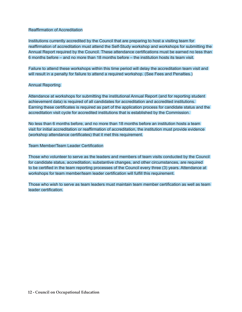#### **Reaffirmation of Accreditation**

Institutions currently accredited by the Council that are preparing to host a visiting team for reaffirmation of accreditation must attend the Self-Study workshop and workshops for submitting the Annual Report required by the Council. These attendance certifications must be earned no less than 6 months before – and no more than 18 months before – the institution hosts its team visit.

Failure to attend these workshops within this time period will delay the accreditation team visit and will result in a penalty for failure to attend a required workshop. (See Fees and Penalties.)

#### Annual Reporting

Attendance at workshops for submitting the institutional Annual Report (and for reporting student achievement data) is required of all candidates for accreditation and accredited institutions. Earning these certificates is required as part of the application process for candidate status and the accreditation visit cycle for accredited institutions that is established by the Commission.

No less than 6 months before, and no more than 18 months before an institution hosts a team visit for initial accreditation or reaffirmation of accreditation, the institution must provide evidence (workshop attendance certificates) that it met this requirement.

Team Member/Team Leader Certification

Those who volunteer to serve as the leaders and members of team visits conducted by the Council for candidate status, accreditation, substantive changes, and other circumstances, are required to be certified in the team reporting processes of the Council every three (3) years. Attendance at workshops for team member/team leader certification will fulfill this requirement.

Those who wish to serve as team leaders must maintain team member certification as well as team leader certification.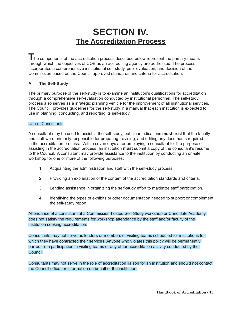# **SECTION IV. The Accreditation Process**

The components of the accreditation process described below represent the primary means through which the objectives of COE as an accrediting agency are addressed. The process incorporates a comprehensive institutional self-study, peer evaluation, and decision of the Commission based on the Council-approved standards and criteria for accreditation.

# **A. The Self-Study**

The primary purpose of the self-study is to examine an institution's qualifications for accreditation through a comprehensive self-evaluation conducted by institutional personnel. The self-study process also serves as a strategic planning vehicle for the improvement of all institutional services. The Council provides guidelines for the self-study in a manual that each institution is expected to use in planning, conducting, and reporting its self-study.

#### Use of Consultants

A consultant may be used to assist in the self-study, but clear indications **must** exist that the faculty and staff were primarily responsible for preparing, revising, and editing any documents required in the accreditation process. Within seven days after employing a consultant for the purpose of assisting in the accreditation process, an institution **must** submit a copy of the consultant's resume to the Council. A consultant may provide assistance to the institution by conducting an on-site workshop for one or more of the following purposes:

- 1. Acquainting the administration and staff with the self-study process.
- 2. Providing an explanation of the content of the accreditation standards and criteria.
- 3. Lending assistance in organizing the self-study effort to maximize staff participation.
- 4. Identifying the types of exhibits or other documentation needed to support or complement the self-study report.

Attendance of a consultant at a Commission-hosted Self-Study workshop or Candidate Academy does not satisfy the requirements for workshop attendance by the staff and/or faculty of the institution seeking accreditation.

Consultants may not serve as leaders or members of visiting teams scheduled for institutions for which they have contracted their services. Anyone who violates this policy will be permanently barred from participation in visiting teams or any other accreditation activity conducted by the Council.

Consultants may not serve in the role of accreditation liaison for an institution and should not contact the Council office for information on behalf of the institution.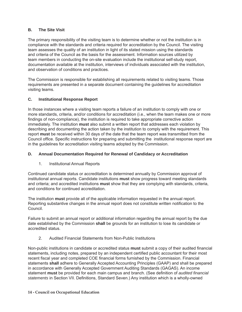## **B. The Site Visit**

The primary responsibility of the visiting team is to determine whether or not the institution is in compliance with the standards and criteria required for accreditation by the Council. The visiting team assesses the quality of an institution in light of its stated mission using the standards and criteria of the Council as the basis for the assessment. Information sources utilized by team members in conducting the on-site evaluation include the institutional self-study report, documentation available at the institution, interviews of individuals associated with the institution, and observation of conditions and practices.

The Commission is responsible for establishing all requirements related to visiting teams. Those requirements are presented in a separate document containing the guidelines for accreditation visiting teams.

# **C. Institutional Response Report**

In those instances where a visiting team reports a failure of an institution to comply with one or more standards, criteria, and/or conditions for accreditation (i.e., when the team makes one or more findings of non-compliance), the institution is required to take appropriate corrective action immediately. The institution **must** also submit a written report that addresses each violation by describing and documenting the action taken by the institution to comply with the requirement. This report **must** be received within 30 days of the date that the team report was transmitted from the Council office. Specific instructions for preparing and submitting the institutional response report are in the guidelines for accreditation visiting teams adopted by the Commission.

# **D. Annual Documentation Required for Renewal of Candidacy or Accreditation**

1. Institutional Annual Reports

Continued candidate status or accreditation is determined annually by Commission approval of institutional annual reports. Candidate institutions **must** show progress toward meeting standards and criteria; and accredited institutions **must** show that they are complying with standards, criteria, and conditions for continued accreditation.

The institution **must** provide all of the applicable information requested in the annual report. Reporting substantive changes in the annual report does not constitute written notification to the Council.

Failure to submit an annual report or additional information regarding the annual report by the due date established by the Commission **shall** be grounds for an institution to lose its candidate or accredited status.

2. Audited Financial Statements from Non-Public Institutions

Non-public institutions in candidate or accredited status **must** submit a copy of their audited financial statements, including notes, prepared by an independent certified public accountant for their most recent fiscal year and completed COE financial forms furnished by the Commission. Financial statements **shall** adhere to Generally Accepted Accounting Principles (GAAP) and shall be prepared in accordance with Generally Accepted Government Auditing Standards (GAGAS). An income statement must be provided for each main campus and branch. (See definition of *audited financial* statements in Section VII. Definitions, Standard Seven.) Any institution which is a wholly-owned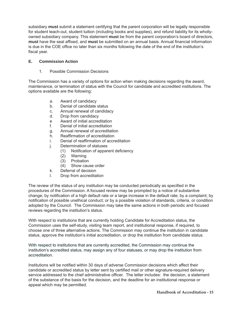subsidiary **must** submit a statement certifying that the parent corporation will be legally responsible for student teach-out, student tuition (including books and supplies), and refund liability for its whollyowned subsidiary company. This statement **must** be from the parent corporation's board of directors, **must** have the seal affixed, and **must** be submitted on an annual basis. Annual financial information is due in the COE office no later than six months following the date of the end of the institution's fiscal year.

# **E. Commission Action**

## 1. Possible Commission Decisions

The Commission has a variety of options for action when making decisions regarding the award, maintenance, or termination of status with the Council for candidate and accredited institutions. The options available are the following:

- a. Award of candidacy
- b. Denial of candidate status
- c. Annual renewal of candidacy
- d. Drop from candidacy
- e Award of initial accreditation
- f. Denial of initial accreditation
- g. Annual renewal of accreditation
- h. Reaffirmation of accreditation
- i. Denial of reaffirmation of accreditation
- j. Determination of statuses
	- (1) Notification of apparent deficiency
	- (2) Warning
	- (3) Probation
	- (4) Show cause order
- k. Deferral of decision
- l. Drop from accreditation

The review of the status of any institution may be conducted periodically as specified in the procedures of the Commission. A focused review may be prompted by a notice of substantive change; by notification of a high default rate or a large increase in the default rate; by a complaint; by notification of possible unethical conduct; or by a possible violation of standards, criteria, or condition adopted by the Council. The Commission may take the same actions in both periodic and focused reviews regarding the institution's status.

With respect to institutions that are currently holding Candidate for Accreditation status, the Commission uses the self-study, visiting team report, and institutional response, if required, to choose one of three alternative actions. The Commission may continue the institution in candidate status, approve the institution's initial accreditation, or drop the institution from candidate status.

With respect to institutions that are currently accredited, the Commission may continue the institution's accredited status, may assign any of four statuses, or may drop the institution from accreditation.

Institutions will be notified within 30 days of adverse Commission decisions which affect their candidate or accredited status by letter sent by certified mail or other signature-required delivery service addressed to the chief administrative officer. The letter includes: the decision, a statement of the substance of the basis for the decision, and the deadline for an institutional response or appeal which may be permitted.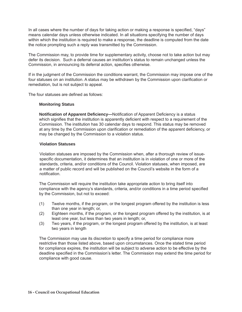In all cases where the number of days for taking action or making a response is specified, "days" means calendar days unless otherwise indicated. In all situations specifying the number of days within which the institution is required to make a response, the deadline is computed from the date the notice prompting such a reply was transmitted by the Commission.

The Commission may, to provide time for supplementary activity, choose not to take action but may defer its decision. Such a deferral causes an institution's status to remain unchanged unless the Commission, in announcing its deferral action, specifies otherwise.

If in the judgment of the Commission the conditions warrant, the Commission may impose one of the four statuses on an institution. A status may be withdrawn by the Commission upon clarification or remediation, but is not subject to appeal.

The four statuses are defined as follows:

#### **Monitoring Status**

**Notification of Apparent Deficiency—Notification of Apparent Deficiency is a status** which signifies that the institution is apparently deficient with respect to a requirement of the Commission. The institution has 30 calendar days to respond. This status may be removed at any time by the Commission upon clarification or remediation of the apparent deficiency, or may be changed by the Commission to a violation status.

#### **Violation Statuses**

 Violation statuses are imposed by the Commission when, after a thorough review of issuespecific documentation, it determines that an institution is in violation of one or more of the standards, criteria, and/or conditions of the Council. Violation statuses, when imposed, are a matter of public record and will be published on the Council's website in the form of a notification.

 The Commission will require the institution take appropriate action to bring itself into compliance with the agency's standards, criteria, and/or conditions in a time period specified by the Commission, but not to exceed:

- (1) Twelve months, if the program, or the longest program offered by the institution is less than one year in length; or,
- (2) Eighteen months, if the program, or the longest program offered by the institution, is at least one year, but less than two years in length; or,
- (3) Two years, if the program, or the longest program offered by the institution, is at least two years in length

 The Commission may use its discretion to specify a time period for compliance more restrictive than those listed above, based upon circumstances. Once the stated time period for compliance expires, the institution will be subject to adverse action to be effective by the deadline specified in the Commission's letter. The Commission may extend the time period for compliance with good cause.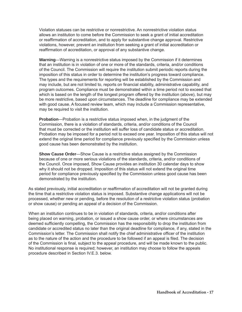Violation statuses can be restrictive or nonrestrictive. An nonrestrictive violation status allows an institution to come before the Commission to seek a grant of initial accreditation or reaffirmation of accreditation, and to apply for substantive change approval. Restrictive violations, however, prevent an institution from seeking a grant of initial accreditation or reaffirmation of accreditation, or approval of any substantive change.

**Warning**—Warning is a nonrestrictive status imposed by the Commission if it determines that an institution is in violation of one or more of the standards, criteria, and/or conditions of the Council. The Commission will require the institution submit periodic reports during the imposition of this status in order to determine the institution's progress toward compliance. The types and the requirements for reporting will be established by the Commission and may include, but are not limited to, reports on financial stability, administrative capability, and program outcomes. Compliance must be demonstrated within a time period not to exceed that which is based on the length of the longest program offered by the institution (above), but may be more restrictive, based upon circumstances. The deadline for compliance may be extended with good cause. A focused review team, which may include a Commission representative, may be required to visit the institution.

**Probation**—Probation is a restrictive status imposed when, in the judgment of the Commission, there is a violation of standards, criteria, and/or conditions of the Council that must be corrected or the institution will suffer loss of candidate status or accreditation. Probation may be imposed for a period not to exceed one year. Imposition of this status will not extend the original time period for compliance previously specified by the Commission unless good cause has been demonstrated by the institution.

**Show Cause Order**—Show Cause is a restrictive status assigned by the Commission because of one or more serious violations of the standards, criteria, and/or conditions of the Council. Once imposed, Show Cause provides an institution 30 calendar days to show why it should not be dropped. Imposition of this status will not extend the original time period for compliance previously specified by the Commission unless good cause has been demonstrated by the institution.

As stated previously, initial accreditation or reaffirmation of accreditation will not be granted during the time that a restrictive violation status is imposed. Substantive change applications will not be processed, whether new or pending, before the resolution of a restrictive violation status (probation or show cause) or pending an appeal of a decision of the Commission.

When an institution continues to be in violation of standards, criteria, and/or conditions after being placed on warning, probation, or issued a show cause order, or where circumstances are deemed sufficiently compelling, the Commission has the responsibility to drop the institution from candidate or accredited status no later than the original deadline for compliance, if any, stated in the Commission's letter. The Commission shall notify the chief administrative officer of the institution as to the nature of the action and the procedure to be followed if an appeal is filed. The decision of the Commission is final, subject to the appeal procedure, and will be made known to the public. No institutional response is required; however, an institution may choose to follow the appeals procedure described in Section IV.E.3. below.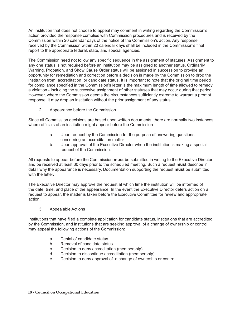An institution that does not choose to appeal may comment in writing regarding the Commission's action provided the response complies with Commission procedures and is received by the Commission within 20 calendar days of the notice of the Commission's action. Any response received by the Commission within 20 calendar days shall be included in the Commission's final report to the appropriate federal, state, and special agencies.

The Commission need not follow any specific sequence in the assignment of statuses. Assignment to any one status is not required before an institution may be assigned to another status. Ordinarily, Warning, Probation, and Show Cause Order status will be assigned in succession to provide an opportunity for remediation and correction before a decision is made by the Commission to drop the institution from accreditation or candidate status. It is important to note that the original time period for compliance specified in the Commission's letter is the maximum length of time allowed to remedy a violation - including the successive assignment of other statuses that may occur during that period. However, where the Commission deems the circumstances sufficiently extreme to warrant a prompt response, it may drop an institution without the prior assignment of any status.

2. Appearance before the Commission

Since all Commission decisions are based upon written documents, there are normally two instances where officials of an institution might appear before the Commission:

- a. Upon request by the Commission for the purpose of answering questions concerning an accreditation matter.
- b. Upon approval of the Executive Director when the institution is making a special request of the Commission.

All requests to appear before the Commission **must** be submitted in writing to the Executive Director and be received at least 30 days prior to the scheduled meeting. Such a request **must** describe in detail why the appearance is necessary. Documentation supporting the request **must** be submitted with the letter

The Executive Director may approve the request at which time the institution will be informed of the date, time, and place of the appearance. In the event the Executive Director defers action on a request to appear, the matter is taken before the Executive Committee for review and appropriate action.

3. Appealable Actions

Institutions that have filed a complete application for candidate status, institutions that are accredited by the Commission, and institutions that are seeking approval of a change of ownership or control may appeal the following actions of the Commission:

- a. Denial of candidate status.
- b. Removal of candidate status.
- c. Decision to deny accreditation (membership).
- d. Decision to discontinue accreditation (membership).
- e. Decision to deny approval of a change of ownership or control.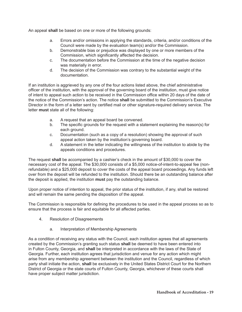An appeal **shall** be based on one or more of the following grounds:

- a. Errors and/or omissions in applying the standards, criteria, and/or conditions of the Council were made by the evaluation team(s) and/or the Commission.
- b. Demonstrable bias or prejudice was displayed by one or more members of the Commission, which significantly affected the decision.
- c. The documentation before the Commission at the time of the negative decision was materially in error.
- d. The decision of the Commission was contrary to the substantial weight of the documentation.

If an institution is aggrieved by any one of the four actions listed above, the chief administrative officer of the institution, with the approval of the governing board of the institution, must give notice of intent to appeal such action to be received in the Commission office within 20 days of the date of the notice of the Commission's action. The notice **shall** be submitted to the Commission's Executive Director in the form of a letter sent by certified mail or other signature-required delivery service. The letter **must** state all of the following:

- a. A request that an appeal board be convened.
- b. The specific grounds for the request with a statement explaining the reason(s) for each ground.
- c. Documentation (such as a copy of a resolution) showing the approval of such appeal action taken by the institution's governing board.
- d. A statement in the letter indicating the willingness of the institution to abide by the appeals conditions and procedures.

The request **shall** be accompanied by a cashier's check in the amount of \$30,000 to cover the necessary cost of the appeal. The \$30,000 consists of a \$5,000 notice-of-intent-to-appeal fee (nonrefundable) and a \$25,000 deposit to cover the costs of the appeal board proceedings. Any funds left over from the deposit will be refunded to the institution. Should there be an outstanding balance after the deposit is applied, the institution **must** pay the outstanding balance.

Upon proper notice of intention to appeal, the prior status of the institution, if any, shall be restored and will remain the same pending the disposition of the appeal.

The Commission is responsible for defining the procedures to be used in the appeal process so as to ensure that the process is fair and equitable for all affected parties.

- 4. Resolution of Disagreements
	- a. Interpretation of Membership Agreements

As a condition of receiving any status with the Council, each institution agrees that all agreements created by the Commission's granting such status **shall** be deemed to have been entered into in Fulton County, Georgia, and **shall** be interpreted in accordance with the laws of the State of Georgia. Further, each institution agrees that jurisdiction and venue for any action which might arise from any membership agreement between the institution and the Council, regardless of which party shall initiate the action, **shall** be exclusively in the United States District Court for the Northern District of Georgia or the state courts of Fulton County, Georgia, whichever of these courts shall have proper subject matter jurisdiction.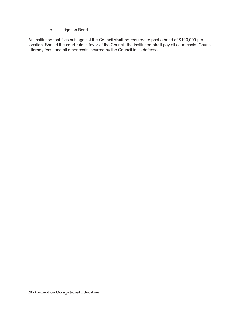b. Litigation Bond

An institution that files suit against the Council shall be required to post a bond of \$100,000 per location. Should the court rule in favor of the Council, the institution **shall** pay all court costs, Council attorney fees, and all other costs incurred by the Council in its defense.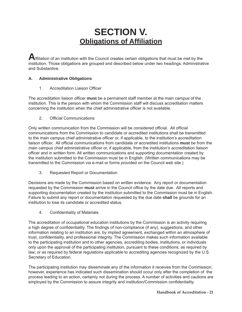# **SECTION V. Obligations of Affiliation**

**A**ffiliation of an institution with the Council creates certain obligations that must be met by the institution. Those obligations are grouped and described below under two headings: Administrative and Substantive.

## **A. Administrative Obligations**

1. Accreditation Liaison Officer

The accreditation liaison officer must be a permanent staff member at the main campus of the institution. This is the person with whom the Commission staff will discuss accreditation matters concerning the institution when the chief administrative officer is not available.

2. Official Communications

Only written communication from the Commission will be considered official. All official communications from the Commission to candidate or accredited institutions shall be transmitted to the main campus chief administrative officer or, if applicable, to the institution's accreditation liaison officer. All official communications from candidate or accredited institutions must be from the main campus chief administrative officer or, if applicable, from the institution's accreditation liaison officer and in written form. All written communications and supporting documentation created by the institution submitted to the Commission must be in English. (Written communications may be transmitted to the Commission via e-mail or forms provided on the Council web site.)

3. Requested Report or Documentation

Decisions are made by the Commission based on written evidence. Any report or documentation requested by the Commission **must** arrive in the Council office by the date due. All reports and supporting documentation created by the institution submitted to the Commission must be in English. Failure to submit any report or documentation requested by the due date **shall** be grounds for an institution to lose its candidate or accredited status.

4. Confidentiality of Materials

The accreditation of occupational education institutions by the Commission is an activity requiring a high degree of confidentiality. The findings of non-compliance (if any), suggestions, and other information relating to an institution are, by implied agreement, exchanged within an atmosphere of trust, confidentiality, and professional integrity. The Commission makes such information available to the participating institution and to other agencies, accrediting bodies, institutions, or individuals only upon the approval of the participating institution, pursuant to these conditions; as required by law; or as required by federal regulations applicable to accrediting agencies recognized by the U.S. Secretary of Education.

The participating institution may disseminate any of the information it receives from the Commission; however, experience has indicated such dissemination should occur only after the completion of the process leading to an action, certainly not during the process. A number of activities and cautions are employed by the Commission to assure integrity and institution/Commission confidentiality.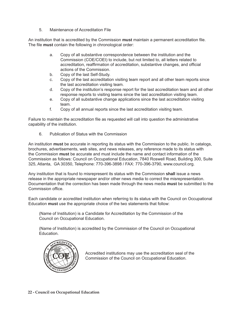5. Maintenance of Accreditation File

An institution that is accredited by the Commission **must** maintain a permanent accreditation file. The file **must** contain the following in chronological order:

- a. Copy of all substantive correspondence between the institution and the Commission (COE/COEI) to include, but not limited to, all letters related to accreditation, reaffirmation of accreditation, substantive changes, and official actions of the Commission.
- b. Copy of the last Self-Study.
- c. Copy of the last accreditation visiting team report and all other team reports since the last accreditation visiting team.
- d. Copy of the institution's response report for the last accreditation team and all other response reports to visiting teams since the last accreditation visiting team.
- e. Copy of all substantive change applications since the last accreditation visiting team.
- f. Copy of all annual reports since the last accreditation visiting team.

Failure to maintain the accreditation file as requested will call into question the administrative capability of the institution.

6. Publication of Status with the Commission

An institution **must** be accurate in reporting its status with the Commission to the public. In catalogs, brochures, advertisements, web sites, and news releases, any reference made to its status with the Commission **must** be accurate and must include the name and contact information of the Commission as follows: Council on Occupational Education, 7840 Roswell Road, Building 300, Suite 325, Atlanta, GA 30350, Telephone: 770-396-3898 / FAX: 770-396-3790, www.council.org.

Any institution that is found to misrepresent its status with the Commission **shall** issue a news release in the appropriate newspaper and/or other news media to correct the misrepresentation. Documentation that the correction has been made through the news media **must** be submitted to the Commission office.

Each candidate or accredited institution when referring to its status with the Council on Occupational Education **must** use the appropriate choice of the two statements that follow:

 (Name of Institution) is a Candidate for Accreditation by the Commission of the Council on Occupational Education.

 (Name of Institution) is accredited by the Commission of the Council on Occupational Education.



 Accredited institutions may use the accreditation seal of the Commission of the Council on Occupational Education.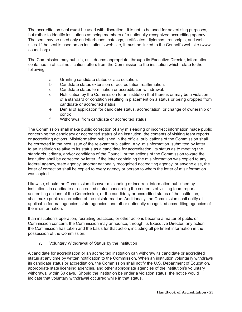The accreditation seal **must** be used with discretion. It is not to be used for advertising purposes, but rather to identify institutions as being members of a nationally-recognized accrediting agency. The seal may be used only on letterheads, catalogs, certificates, diplomas, transcripts, and web sites. If the seal is used on an institution's web site, it must be linked to the Council's web site (www. council.org).

The Commission may publish, as it deems appropriate, through its Executive Director, information contained in official notification letters from the Commission to the institution which relate to the following:

- a. Granting candidate status or accreditation.
- b. Candidate status extension or accreditation reaffirmation.
- c. Candidate status termination or accreditation withdrawal.
- d. Notification by the Commission to an institution that there is or may be a violation of a standard or condition resulting in placement on a status or being dropped from candidate or accredited status.
- e. Denial of application for candidate status, accreditation, or change of ownership or control.
- f. Withdrawal from candidate or accredited status.

The Commission shall make public correction of any misleading or incorrect information made public concerning the candidacy or accredited status of an institution, the contents of visiting team reports, or accrediting actions. Misinformation published in the official publications of the Commission shall be corrected in the next issue of the relevant publication. Any misinformation submitted by letter to an institution relative to its status as a candidate for accreditation; its status as to meeting the standards, criteria, and/or conditions of the Council; or the actions of the Commission toward the institution shall be corrected by letter. If the letter containing the misinformation was copied to any federal agency, state agency, another nationally recognized accrediting agency, or anyone else, the letter of correction shall be copied to every agency or person to whom the letter of misinformation was copied.

Likewise, should the Commission discover misleading or incorrect information published by institutions in candidate or accredited status concerning the contents of visiting team reports, accrediting actions of the Commission, or the candidacy or accredited status of the institution, it shall make public a correction of the misinformation. Additionally, the Commission shall notify all applicable federal agencies, state agencies, and other nationally recognized accrediting agencies of the misinformation.

If an institution's operation, recruiting practices, or other actions become a matter of public or Commission concern, the Commission may announce, through its Executive Director, any action the Commission has taken and the basis for that action, including all pertinent information in the possession of the Commission.

7. Voluntary Withdrawal of Status by the Institution

A candidate for accreditation or an accredited institution can withdraw its candidate or accredited status at any time by written notification to the Commission. When an institution voluntarily withdraws its candidate status or accreditation, the Commission shall notify the U.S. Department of Education, appropriate state licensing agencies, and other appropriate agencies of the institution's voluntary withdrawal within 30 days. Should the institution be under a violation status, the notice would indicate that voluntary withdrawal occurred while in that status.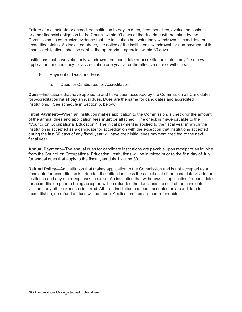Failure of a candidate or accredited institution to pay its dues, fees, penalties, evaluation costs, or other financial obligation to the Council within 90 days of the due date will be taken by the Commission as conclusive evidence that the institution has voluntarily withdrawn its candidate or accredited status. As indicated above, the notice of the institution's withdrawal for non-payment of its financial obligations shall be sent to the appropriate agencies within 30 days.

Institutions that have voluntarily withdrawn from candidate or accreditation status may file a new application for candidacy for accreditation one year after the effective date of withdrawal.

- 8. Payment of Dues and Fees
	- a. Dues for Candidates for Accreditation

**Dues—**Institutions that have applied to and have been accepted by the Commission as Candidates for Accreditation **must** pay annual dues. Dues are the same for candidates and accredited institutions. (See schedule in Section b. below.)

**Initial Payment—**When an institution makes application to the Commission, a check for the amount of the annual dues and application fees **must** be attached. The check is made payable to the "Council on Occupational Education." The initial payment is applied to the fiscal year in which the institution is accepted as a candidate for accreditation with the exception that institutions accepted during the last 60 days of any fiscal year will have their initial dues payment credited to the next fiscal year.

**Annual Payment—**The annual dues for candidate institutions are payable upon receipt of an invoice from the Council on Occupational Education. Institutions will be invoiced prior to the first day of July for annual dues that apply to the fiscal year July 1 - June 30.

**Refund Policy—**An institution that makes application to the Commission and is not accepted as a candidate for accreditation is refunded the initial dues less the actual cost of the candidate visit to the institution and any other expenses incurred. An institution that withdraws its application for candidate for accreditation prior to being accepted will be refunded the dues less the cost of the candidate visit and any other expenses incurred. After an institution has been accepted as a candidate for accreditation, no refund of dues will be made. Application fees are non-refundable.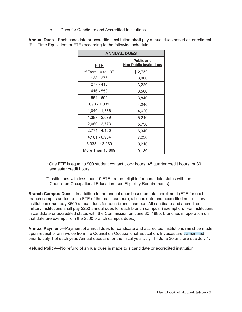b. Dues for Candidate and Accredited Institutions

**Annual Dues—**Each candidate or accredited institution **shall** pay annual dues based on enrollment (Full-Time Equivalent or FTE) according to the following schedule.

| <b>ANNUAL DUES</b> |                                                     |  |  |  |
|--------------------|-----------------------------------------------------|--|--|--|
| FTE                | <b>Public and</b><br><b>Non-Public Institutions</b> |  |  |  |
| **From 10 to 137   | \$2,750                                             |  |  |  |
| 138 - 276          | 3,000                                               |  |  |  |
| 277 - 415          | 3,220                                               |  |  |  |
| 416 - 553          | 3,500                                               |  |  |  |
| 554 - 692          | 3,840                                               |  |  |  |
| 693 - 1,039        | 4,240                                               |  |  |  |
| $1,040 - 1,386$    | 4,620                                               |  |  |  |
| 1,387 - 2,079      | 5,240                                               |  |  |  |
| $2,080 - 2,773$    | 5,730                                               |  |  |  |
| 2,774 - 4,160      | 6,340                                               |  |  |  |
| 4,161 - 6,934      | 7,230                                               |  |  |  |
| 6.935 - 13.869     | 8,210                                               |  |  |  |
| More Than 13,869   | 9,180                                               |  |  |  |

- \* One FTE is equal to 900 student contact clock hours, 45 quarter credit hours, or 30 semester credit hours.
- \*\*Institutions with less than 10 FTE are not eligible for candidate status with the Council on Occupational Education (see Eligibility Requirements).

**Branch Campus Dues—**In addition to the annual dues based on total enrollment (FTE for each branch campus added to the FTE of the main campus), all candidate and accredited non-military institutions **shall** pay \$500 annual dues for each branch campus. All candidate and accredited military institutions shall pay \$250 annual dues for each branch campus. (Exemption: For institutions in candidate or accredited status with the Commission on June 30, 1985, branches in operation on that date are exempt from the \$500 branch campus dues.)

**Annual Payment—**Payment of annual dues for candidate and accredited institutions **must** be made upon receipt of an invoice from the Council on Occupational Education. Invoices are transmitted prior to July 1 of each year. Annual dues are for the fiscal year July 1 - June 30 and are due July 1.

**Refund Policy—**No refund of annual dues is made to a candidate or accredited institution.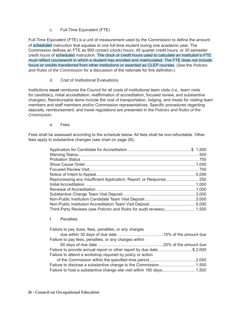c. Full-Time Equivalent (FTE)

Full-Time Equivalent (FTE) is a unit of measurement used by the Commission to define the amount of scheduled instruction that equates to one full-time student during one academic year. The Commission defines an FTE as 900 contact (clock) hours, 45 quarter credit hours, or 30 semester credit hours of scheduled instruction. The clock or credit hours used to calculate an institution's FTE must reflect coursework in which a student has enrolled and matriculated. The FTE does not include hours or credits transferred from other institutions or awarded as CLEP courses. (See the *Policies and Rules of the Commission* for a discussion of the rationale for this definition.)

# d. Cost of Institutional Evaluations

Institutions **must** reimburse the Council for all costs of institutional team visits (i.e., team visits for candidacy, initial accreditation, reaffirmation of accreditation, focused review, and substantive changes). Reimbursable items include the cost of transportation, lodging, and meals for visiting team members and staff members and/or Commission representatives. Specific procedures regarding deposits, reimbursement, and travel regulations are presented in the *Policies and Rules of the Commission*.

e. Fees

Fees shall be assessed according to the schedule below. All fees shall be non-refundable. Other fees apply to substantive changes (see chart on page 26).

f. Penalties

| Failure to pay dues, fees, penalties, or any charges                  |  |
|-----------------------------------------------------------------------|--|
| Failure to pay fees, penalties, or any charges within                 |  |
|                                                                       |  |
| Failure to provide annual report or other report by due date \$ 2,000 |  |
| Failure to attend a workshop required by policy or action             |  |
|                                                                       |  |
|                                                                       |  |
|                                                                       |  |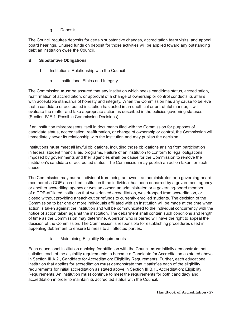g. Deposits

The Council requires deposits for certain substantive changes, accreditation team visits, and appeal board hearings. Unused funds on deposit for those activities will be applied toward any outstanding debt an institution owes the Council.

#### **B. Substantive Obligations**

- 1. Institution's Relationship with the Council
	- a. Institutional Ethics and Integrity

The Commission **must** be assured that any institution which seeks candidate status, accreditation, reaffirmation of accreditation, or approval of a change of ownership or control conducts its affairs with acceptable standards of honesty and integrity. When the Commission has any cause to believe that a candidate or accredited institution has acted in an unethical or untruthful manner, it will evaluate the matter and take appropriate action as described in the policies governing statuses (Section IV.E.1. Possible Commission Decisions).

If an institution misrepresents itself in documents filed with the Commission for purposes of candidate status, accreditation, reaffirmation, or change of ownership or control, the Commission will immediately sever its relationship with the institution and may publish the decision.

Institutions **must** meet all lawful obligations, including those obligations arising from participation in federal student financial aid programs. Failure of an institution to conform to legal obligations imposed by governments and their agencies **shall** be cause for the Commission to remove the institution's candidate or accredited status. The Commission may publish an action taken for such cause.

The Commission may bar an individual from being an owner, an administrator, or a governing-board member of a COE-accredited institution if the individual has been debarred by a government agency or another accrediting agency or was an owner, an administrator, or a governing-board member of a COE-affiliated institution that was denied accreditation, was dropped from accreditation, or closed without providing a teach-out or refunds to currently enrolled students. The decision of the Commission to bar one or more individuals affiliated with an institution will be made at the time when action is taken against the institution and will be communicated to the individual concurrently with the notice of action taken against the institution. The debarment shall contain such conditions and length of time as the Commission may determine. A person who is barred will have the right to appeal the decision of the Commission. The Commission is responsible for establishing procedures used in appealing debarment to ensure fairness to all affected parties.

### b. Maintaining Eligibility Requirements

Each educational institution applying for affiliation with the Council **must** initially demonstrate that it satisfies each of the eligibility requirements to become a Candidate for Accreditation as stated above in Section III.A.2., Candidate for Accreditation: Eligibility Requirements. Further, each educational institution that applies for accreditation **must** demonstrate that it satisfies each of the eligibility requirements for initial accreditation as stated above in Section III.B.1., Accreditation: Eligibility Requirements. An institution **must** continue to meet the requirements for both candidacy and accreditation in order to maintain its accredited status with the Council.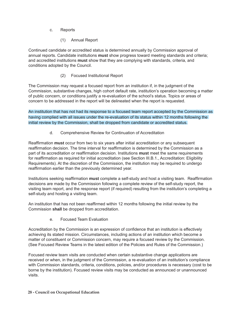- c. Reports
	- (1) Annual Report

Continued candidate or accredited status is determined annually by Commission approval of annual reports. Candidate institutions **must** show progress toward meeting standards and criteria; and accredited institutions **must** show that they are complying with standards, criteria, and conditions adopted by the Council.

(2) Focused Institutional Report

The Commission may request a focused report from an institution if, in the judgment of the Commission, substantive changes, high cohort default rate, institution's operation becoming a matter of public concern, or conditions justify a re-evaluation of the school's status. Topics or areas of concern to be addressed in the report will be delineated when the report is requested.

An institution that has not had its response to a focused team report accepted by the Commission as having complied with all issues under the re-evaluation of its status within 12 months following the initial review by the Commission, shall be dropped from candidate or accredited status.

d. Comprehensive Review for Continuation of Accreditation

Reaffirmation **must** occur from two to six years after initial accreditation or any subsequent reaffirmation decision. The time interval for reaffirmation is determined by the Commission as a part of its accreditation or reaffirmation decision. Institutions **must** meet the same requirements for reaffirmation as required for initial accreditation (see Section III.B.1., Accreditation: Eligibility Requirements). At the discretion of the Commission, the institution may be required to undergo reaffirmation earlier than the previously determined year.

Institutions seeking reaffirmation **must** complete a self-study and host a visiting team. Reaffirmation decisions are made by the Commission following a complete review of the self-study report, the visiting team report, and the response report (if required) resulting from the institution's completing a self-study and hosting a visiting team.

An institution that has not been reaffirmed within 12 months following the initial review by the Commission **shall** be dropped from accreditation.

e. Focused Team Evaluation

Accreditation by the Commission is an expression of confidence that an institution is effectively achieving its stated mission. Circumstances, including actions of an institution which become a matter of constituent or Commission concern, may require a focused review by the Commission. (See Focused Review Teams in the latest edition of the Policies and Rules of the Commission.)

Focused review team visits are conducted when certain substantive change applications are received or when, in the judgment of the Commission, a re-evaluation of an institution's compliance with Commission standards, criteria, conditions, policies, and/or procedures is necessary (cost to be borne by the institution). Focused review visits may be conducted as announced or unannounced visits.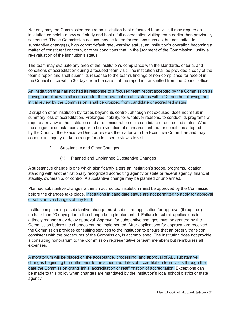Not only may the Commission require an institution host a focused team visit, it may require an institution complete a new self-study and host a full accreditation visiting team earlier than previously scheduled. These Commission actions may be taken for reasons such as, but not limited to: substantive change(s), high cohort default rate, warning status, an institution's operation becoming a matter of constituent concern, or other conditions that, in the judgment of the Commission, justify a re-evaluation of the institution's status.

The team may evaluate any area of the institution's compliance with the standards, criteria, and conditions of accreditation during a focused team visit. The institution shall be provided a copy of the team's report and shall submit its response to the team's findings of non-compliance for receipt in the Council office within 30 days from the date that the report is transmitted from the Council office.

An institution that has not had its response to a focused team report accepted by the Commission as having complied with all issues under the re-evaluation of its status within 12 months following the initial review by the Commission, shall be dropped from candidate or accredited status.

Disruption of an institution by forces beyond its control, although not excused, does not result in summary loss of accreditation. Prolonged inability, for whatever reasons, to conduct its programs will require a review of the institution and a reconsideration of its candidate or accredited status. When the alleged circumstances appear to be a violation of standards, criteria, or conditions adopted by the Council, the Executive Director reviews the matter with the Executive Committee and may conduct an inquiry and/or arrange for a focused review site visit.

- f. Substantive and Other Changes
	- (1) Planned and Unplanned Substantive Changes

A substantive change is one which significantly alters an institution's scope, programs, location, standing with another nationally recognized accrediting agency or state or federal agency, financial stability, ownership, or control. A substantive change may be planned or unplanned.

Planned substantive changes within an accredited institution **must** be approved by the Commission before the changes take place. Institutions in candidate status are not permitted to apply for approval of substantive changes of any kind.

Institutions planning a substantive change **must** submit an application for approval (if required) no later than 90 days prior to the change being implemented. Failure to submit applications in a timely manner may delay approval. Approval for substantive changes must be granted by the Commission before the changes can be implemented. After applications for approval are received, the Commission provides consulting services to the institution to ensure that an orderly transition, consistent with the procedures of the Commission, is accomplished. The institution does not provide a consulting honorarium to the Commission representative or team members but reimburses all expenses.

A moratorium will be placed on the acceptance, processing, and approval of ALL substantive changes beginning 6 months prior to the scheduled dates of accreditation team visits through the date the Commission grants initial accreditation or reaffirmation of accreditation. Exceptions can be made to this policy when changes are mandated by the institution's local school district or state agency.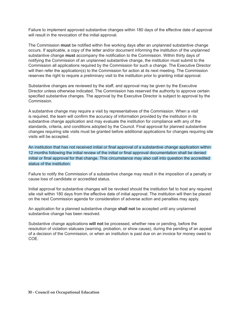Failure to implement approved substantive changes within 180 days of the effective date of approval will result in the revocation of the initial approval.

The Commission must be notified within five working days after an unplanned substantive change occurs. If applicable, a copy of the letter and/or document informing the institution of the unplanned substantive change **must** accompany the notification to the Commission. Within thirty days of notifying the Commission of an unplanned substantive change, the institution must submit to the Commission all applications required by the Commission for such a change. The Executive Director will then refer the application(s) to the Commission for action at its next meeting. The Commission reserves the right to require a preliminary visit to the institution prior to granting initial approval.

Substantive changes are reviewed by the staff, and approval may be given by the Executive Director unless otherwise indicated. The Commission has reserved the authority to approve certain specified substantive changes. The approval by the Executive Director is subject to approval by the Commission.

A substantive change may require a visit by representatives of the Commission. When a visit is required, the team will confirm the accuracy of information provided by the institution in its substantive change application and may evaluate the institution for compliance with any of the standards, criteria, and conditions adopted by the Council. Final approval for planned substantive changes requiring site visits must be granted before additional applications for changes requiring site visits will be accepted.

An institution that has not received initial or final approval of a substantive change application within 12 months following the initial review of the initial or final approval documentation shall be denied initial or final approval for that change. This circumstance may also call into question the accredited status of the institution.

Failure to notify the Commission of a substantive change may result in the imposition of a penalty or cause loss of candidate or accredited status.

Initial approval for substantive changes will be revoked should the institution fail to host any required site visit within 180 days from the effective date of initial approval. The institution will then be placed on the next Commission agenda for consideration of adverse action and penalties may apply.

An application for a planned substantive change **shall not** be accepted until any unplanned substantive change has been resolved.

Substantive change applications **will not** be processed, whether new or pending, before the resolution of violation statuses (warning, probation, or show cause), during the pending of an appeal of a decision of the Commission, or when an institution is past due on an invoice for money owed to CO<sub>E</sub>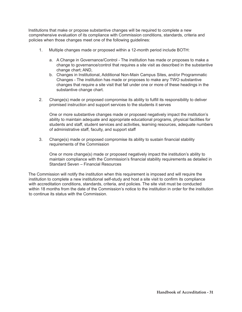Institutions that make or propose substantive changes will be required to complete a new comprehensive evaluation of its compliance with Commission conditions, standards, criteria and policies when those changes meet one of the following guidelines:

- 1. Multiple changes made or proposed within a 12-month period include BOTH:
	- a. A Change in Governance/Control The institution has made or proposes to make a change to governance/control that requires a site visit as described in the substantive change chart; AND,
	- b. Changes in Institutional, Additional Non-Main Campus Sites, and/or Programmatic Changes - The institution has made or proposes to make any TWO substantive changes that require a site visit that fall under one or more of these headings in the substantive change chart.
- 2. Change(s) made or proposed compromise its ability to fulfill its responsibility to deliver promised instruction and support services to the students it serves

 One or more substantive changes made or proposed negatively impact the institution's ability to maintain adequate and appropriate educational programs, physical facilities for students and staff, student services and activities, learning resources, adequate numbers of administrative staff, faculty, and support staff

3. Change(s) made or proposed compromise its ability to sustain financial stability requirements of the Commission

 One or more change(s) made or proposed negatively impact the institution's ability to maintain compliance with the Commission's financial stability requirements as detailed in Standard Seven – Financial Resources

The Commission will notify the institution when this requirement is imposed and will require the institution to complete a new institutional self-study and host a site visit to confirm its compliance with accreditation conditions, standards, criteria, and policies. The site visit must be conducted within 18 months from the date of the Commission's notice to the institution in order for the institution to continue its status with the Commission.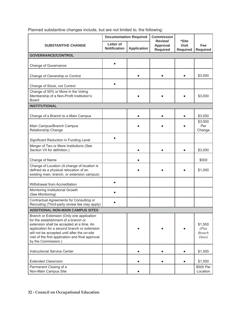Planned substantive changes include, but are not limited to, the following:

|                                                                                                                                                                                                                                                                                                            | <b>Documentation Required</b>    |                    | <b>Commission</b>                      |                                          |                                            |  |  |  |
|------------------------------------------------------------------------------------------------------------------------------------------------------------------------------------------------------------------------------------------------------------------------------------------------------------|----------------------------------|--------------------|----------------------------------------|------------------------------------------|--------------------------------------------|--|--|--|
| <b>SUBSTANTIVE CHANGE</b>                                                                                                                                                                                                                                                                                  | Letter of<br><b>Notification</b> | <b>Application</b> | Review/<br>Approval<br><b>Required</b> | *Site<br><b>Visit</b><br><b>Required</b> | Fee<br><b>Required</b>                     |  |  |  |
| <b>GOVERNANCE/CONTROL</b>                                                                                                                                                                                                                                                                                  |                                  |                    |                                        |                                          |                                            |  |  |  |
| Change of Governance                                                                                                                                                                                                                                                                                       |                                  |                    |                                        |                                          |                                            |  |  |  |
| Change of Ownership or Control                                                                                                                                                                                                                                                                             |                                  |                    |                                        |                                          | \$3,000                                    |  |  |  |
| Change of Stock, not Control                                                                                                                                                                                                                                                                               |                                  |                    |                                        |                                          |                                            |  |  |  |
| Change of 50% or More in the Voting<br>Membership of a Non-Profit Institution's<br><b>Board</b>                                                                                                                                                                                                            |                                  |                    |                                        |                                          | \$3,000                                    |  |  |  |
| <b>INSTITUTIONAL</b>                                                                                                                                                                                                                                                                                       |                                  |                    |                                        |                                          |                                            |  |  |  |
| Change of a Branch to a Main Campus                                                                                                                                                                                                                                                                        |                                  |                    |                                        |                                          | \$3,000                                    |  |  |  |
| Main Campus/Branch Campus<br>Relationship Change                                                                                                                                                                                                                                                           |                                  |                    |                                        |                                          | \$3,000<br>Per<br>Change                   |  |  |  |
| Significant Reduction in Funding Level                                                                                                                                                                                                                                                                     |                                  |                    |                                        |                                          |                                            |  |  |  |
| Merger of Two or More Institutions (See<br>Section VII for definition.)                                                                                                                                                                                                                                    |                                  |                    |                                        |                                          | \$3,000                                    |  |  |  |
| Change of Name                                                                                                                                                                                                                                                                                             |                                  |                    |                                        |                                          | \$500                                      |  |  |  |
| Change of Location (A change of location is<br>defined as a physical relocation of an<br>existing main, branch, or extension campus)                                                                                                                                                                       |                                  |                    |                                        |                                          | \$1,000                                    |  |  |  |
| Withdrawal from Accreditation                                                                                                                                                                                                                                                                              |                                  |                    |                                        |                                          |                                            |  |  |  |
| Monitoring Institutional Growth<br>(See Montioring)                                                                                                                                                                                                                                                        |                                  |                    |                                        |                                          |                                            |  |  |  |
| Contractual Agreements for Consulting or<br>Recruiting (Third-party review fee may apply)                                                                                                                                                                                                                  |                                  |                    |                                        |                                          |                                            |  |  |  |
| <b>ADDITIONAL NON-MAIN CAMPUS SITES</b>                                                                                                                                                                                                                                                                    |                                  |                    |                                        |                                          |                                            |  |  |  |
| Branch or Extension (Only one application<br>for the establishment of a branch or<br>extension shall be accepted at a time. An<br>application for a second branch or extension<br>will not be accepted until after the on-site<br>visit of the first application and final approval<br>by the Commission.) |                                  |                    |                                        |                                          | \$1,500<br>(Plus<br><b>Branch</b><br>Dues) |  |  |  |
| Instructional Service Center                                                                                                                                                                                                                                                                               |                                  |                    | $\bullet$                              | $\bullet$                                | \$1,500                                    |  |  |  |
| <b>Extended Classroom</b>                                                                                                                                                                                                                                                                                  |                                  |                    |                                        | $\bullet$                                | \$1,500                                    |  |  |  |
| Permanent Closing of a<br>Non-Main Campus Site                                                                                                                                                                                                                                                             |                                  |                    |                                        |                                          | \$500 Per<br>Location                      |  |  |  |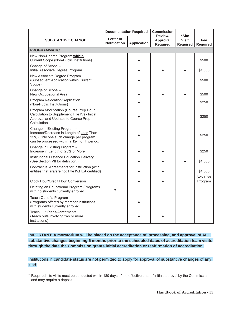|                                                                                                                                                                  | <b>Documentation Required</b>    |                    | <b>Commission</b>                      |                                          |                        |  |  |  |  |
|------------------------------------------------------------------------------------------------------------------------------------------------------------------|----------------------------------|--------------------|----------------------------------------|------------------------------------------|------------------------|--|--|--|--|
| <b>SUBSTANTIVE CHANGE</b>                                                                                                                                        | Letter of<br><b>Notification</b> | <b>Application</b> | Review/<br>Approval<br><b>Required</b> | *Site<br><b>Visit</b><br><b>Required</b> | Fee<br><b>Required</b> |  |  |  |  |
| <b>PROGRAMMATIC</b>                                                                                                                                              |                                  |                    |                                        |                                          |                        |  |  |  |  |
| New Non-Degree Program within<br>Current Scope (Non-Public Institutions)                                                                                         |                                  | $\bullet$          |                                        |                                          | \$500                  |  |  |  |  |
| Change of Scope -<br>Initial Associate Degree Program                                                                                                            |                                  |                    |                                        |                                          | \$1,000                |  |  |  |  |
| New Associate Degree Program<br>(Subsequent Application within Current<br>Scope)                                                                                 |                                  |                    |                                        |                                          | \$500                  |  |  |  |  |
| Change of Scope -<br>New Occupational Area                                                                                                                       |                                  | $\bullet$          |                                        | $\bullet$                                | \$500                  |  |  |  |  |
| Program Relocation/Replication<br>(Non-Public Institutions)                                                                                                      |                                  |                    |                                        |                                          | \$250                  |  |  |  |  |
| Program Modification (Course Prep Hour<br>Calculation to Supplement Title IV) - Initial<br>Approval and Updates to Course Prep<br>Calculation                    |                                  |                    |                                        |                                          | \$250                  |  |  |  |  |
| Change in Existing Program -<br>Increase/Decrease in Length of Less Than<br>25% (Only one such change per program<br>can be processed within a 12-month period.) |                                  |                    |                                        |                                          | \$250                  |  |  |  |  |
| Change in Existing Program -<br>Increase in Length of 25% or More                                                                                                |                                  |                    |                                        |                                          | \$250                  |  |  |  |  |
| Institutional Distance Education Delivery<br>(See Section VII for definition.)                                                                                   |                                  |                    |                                        |                                          | \$1,000                |  |  |  |  |
| Contractual Agreements for Instruction (with<br>entities that are/are not Title IV, HEA certified)                                                               |                                  | $\bullet$          |                                        |                                          | \$1,500                |  |  |  |  |
| Clock Hour/Credit Hour Conversion                                                                                                                                |                                  |                    |                                        |                                          | \$250 Per<br>Program   |  |  |  |  |
| Deleting an Educational Program (Programs<br>with no students currently enrolled)                                                                                |                                  |                    |                                        |                                          |                        |  |  |  |  |
| Teach Out of a Program<br>(Programs offered by member institutions<br>with students currently enrolled)                                                          |                                  |                    |                                        |                                          |                        |  |  |  |  |
| Teach Out Plans/Agreements<br>(Teach outs involving two or more<br>institutions)                                                                                 |                                  |                    |                                        |                                          |                        |  |  |  |  |

**IMPORTANT: A moratorium will be placed on the acceptance of, processing, and approval of ALL substantive changes beginning 6 months prior to the scheduled dates of accreditation team visits through the date the Commission grants initial accreditation or reaffi rmation of accreditation.**

Institutions in candidate status are not permitted to apply for approval of substantive changes of any kind.

\* Required site visits must be conducted within 180 days of the effective date of initial approval by the Commission and may require a deposit.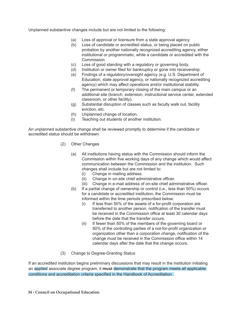Unplanned substantive changes include but are not limited to the following:

- (a) Loss of approval or licensure from a state approval agency.
- (b) Loss of candidate or accredited status, or being placed on public probation by another nationally recognized accrediting agency, either institutional or programmatic, while a candidate or accredited with the Commission.
- (c) Loss of good standing with a regulatory or governing body.
- (d) Institution or owner filed for bankruptcy or gone into receivership.
- (e) Findings of a regulatory/oversight agency (e.g. U.S. Department of Education, state approval agency, or nationally recognized accrediting agency) which may affect operations and/or institutional stability.
- (f) The permanent or temporary closing of the main campus or an additional site (branch, extension, instructional service center, extended classroom, or other facility).
- (g) Substantial disruption of classes such as faculty walk out, facility eviction, etc.
- (h) Unplanned change of location.
- (i) Teaching out students of another institution.

An unplanned substantive change shall be reviewed promptly to determine if the candidate or accredited status should be withdrawn.

- (2) Other Changes
	- (a) All institutions having status with the Commission should inform the Commission within five working days of any change which would affect communication between the Commission and the institution. Such changes shall include but are not limited to:
		- (i) Change in mailing address.
		- (ii) Change in on-site chief administrative officer.
		- (iii) Change in e-mail address of on-site chief administrative officer.
	- (b) If a partial change of ownership or control (i.e., less than 50%) occurs for a candidate or accredited institution, the Commission must be informed within the time periods prescribed below:
		- $(i)$  If less than 50% of the assets of a for-profit corporation are transferred to another person, notification of the transfer must be received in the Commission office at least 30 calendar days before the date that the transfer occurs.
		- (ii) If fewer than 50% of the members of the governing board or 50% of the controlling parties of a not-for-profit organization or organization other than a corporation change, notification of the change must be received in the Commission office within 14 calendar days after the date that the change occurs.
- (3) Change to Degree-Granting Status

If an accredited institution begins preliminary discussions that may result in the institution initiating an applied associate degree program, it **must** demonstrate that the program meets all applicable conditions and accreditation criteria specified in the Handbook of Accreditation.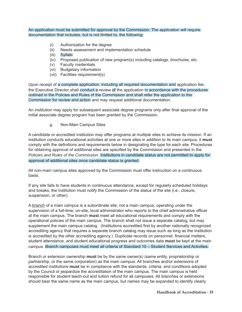An application must be submitted for approval by the Commission. The application will require documentation that includes, but is not limited to, the following:

- (i) Authorization for the degree
- (ii) Needs assessment and implementation schedule
- (iii) Syllabi
- (iv) Proposed publication of new program(s) including catalogs, brochures, etc.
- (v) Faculty credentials
- (vi) Budgetary information
- (vii) Facilities requirement(s)

Upon receipt of a complete application, including all required documentation and application fee, the Executive Director shall conduct a review of the application in accordance with the procedures outlined in the Policies and Rules of the Commission and shall refer the application to the Commission for review and action and may request additional documentation.

An institution may apply for subsequent associate degree programs only after final approval of the initial associate degree program has been granted by the Commission.

g. Non-Main Campus Sites

A candidate or accredited institution may offer programs at multiple sites to achieve its mission. If an institution conducts educational activities at one or more sites in addition to its main campus, it **must** comply with the definitions and requirements below in designating the type for each site. Procedures for obtaining approval of additional sites are specified by the Commission and presented in the *Policies and Rules of the Commission*. Institutions in candidate status are not permitted to apply for approval of additional sites once candidate status is granted.

All non-main campus sites approved by the Commission must offer instruction on a continuous basis.

If any site fails to have students in continuous attendance, except for regularly scheduled holidays and breaks, the institution must notify the Commission of the status of the site (i.e., closure, suspension, or other).

A branch of a main campus is a subordinate site, not a main campus, operating under the supervision of a full-time, on-site, local administrator who reports to the chief administrative officer at the main campus. The branch **must** meet all educational requirements and comply with the operational policies of the main campus. The branch shall not issue a separate catalog, but may supplement the main campus catalog. (Institutions accredited first by another nationally recognized accrediting agency that requires a separate branch catalog may issue such as long as the institution is accredited by the other accrediting agency.) Duplicate records on personnel, financial matters, student attendance, and student educational progress and outcomes data **must** be kept at the main campus. Branch campuses must meet all criteria of Standard 10 – Student Services and Activities.

Branch or extension ownership **must** be by the same owner(s) (same entity, proprietorship or partnership, or the same corporation) as the main campus. All branches and/or extensions of accredited institutions **must** be in compliance with the standards, criteria, and conditions adopted by the Council or jeopardize the accreditation of the main campus. The main campus is held responsible for student teach-out and tuition refund for all campuses. All branches or extensions should bear the same name as the main campus, but names may be expanded to identify clearly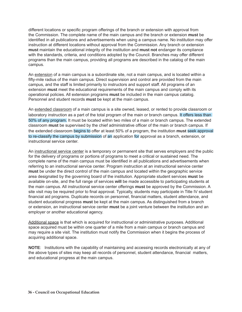different locations or specific program offerings of the branch or extension with approval from the Commission. The complete name of the main campus and the branch or extension **must** be identified in all publications and advertisements when using a campus name. No institution may offer instruction at different locations without approval from the Commission. Any branch or extension **must** maintain the educational integrity of the institution and **must not** endanger its compliance with the standards, criteria, and conditions adopted by the Council. Branches may offer different programs than the main campus, providing all programs are described in the catalog of the main campus.

An extension of a main campus is a subordinate site, not a main campus, and is located within a fifty-mile radius of the main campus. Direct supervision and control are provided from the main campus, and the staff is limited primarily to instructors and support staff. All programs of an extension **must** meet the educational requirements of the main campus and comply with its operational policies. All extension programs **must** be included in the main campus catalog. Personnel and student records **must** be kept at the main campus.

An extended classroom of a main campus is a site owned, leased, or rented to provide classroom or laboratory instruction as a part of the total program of the main or branch campus. It offers less than 50% of any program. It must be located within two miles of a main or branch campus. The extended classroom **must** be supervised by the chief administrative officer of the main or branch campus. If the extended classroom begins to offer at least 50% of a program, the institution **must** seek approval to re-classify the campus by submission of an application for approval as a branch, extension, or instructional service center.

An instructional service center is a temporary or permanent site that serves employers and the public for the delivery of programs or portions of programs to meet a critical or sustained need. The complete name of the main campus must be identified in all publications and advertisements when referring to an instructional service center. Program instruction at an instructional service center **must** be under the direct control of the main campus and located within the geographic service area designated by the governing board of the institution. Appropriate student services **must** be available on-site, and the full range of services **will** be made accessible to participating students at the main campus. All instructional service center offerings **must** be approved by the Commission. A site visit may be required prior to final approval. Typically, students may participate in Title IV student financial aid programs. Duplicate records on personnel, financial matters, student attendance, and student educational progress **must** be kept at the main campus. As distinguished from a branch or extension, an instructional service center **must** be a joint venture between the institution and an employer or another educational agency.

Additional space is that which is acquired for instructional or administrative purposes. Additional space acquired must be within one quarter of a mile from a main campus or branch campus and may require a site visit. The institution must notify the Commission when it begins the process of acquiring additional space.

**NOTE**: Institutions with the capability of maintaining and accessing records electronically at any of the above types of sites may keep all records of personnel, student attendance, financial matters, and educational progress at the main campus.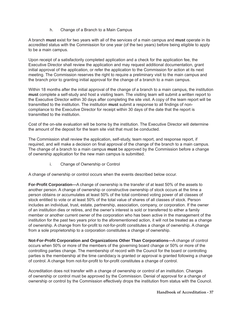h. Change of a Branch to a Main Campus

A branch **must** exist for two years with all of the services of a main campus and **must** operate in its accredited status with the Commission for one year (of the two years) before being eligible to apply to be a main campus.

Upon receipt of a satisfactorily completed application and a check for the application fee, the Executive Director shall review the application and may request additional documentation, grant initial approval of the application, or refer the application to the Commission for action at its next meeting. The Commission reserves the right to require a preliminary visit to the main campus and the branch prior to granting initial approval for the change of a branch to a main campus.

Within 18 months after the initial approval of the change of a branch to a main campus, the institution **must** complete a self-study and host a visiting team. The visiting team will submit a written report to the Executive Director within 30 days after completing the site visit. A copy of the team report will be transmitted to the institution. The institution **must** submit a response to all findings of noncompliance to the Executive Director for receipt within 30 days of the date that the report is transmitted to the institution.

Cost of the on-site evaluation will be borne by the institution. The Executive Director will determine the amount of the deposit for the team site visit that must be conducted.

The Commission shall review the application, self-study, team report, and response report, if required, and will make a decision on final approval of the change of the branch to a main campus. The change of a branch to a main campus **must** be approved by the Commission before a change of ownership application for the new main campus is submitted.

i. Change of Ownership or Control

A change of ownership or control occurs when the events described below occur.

**For-Profit Corporation—**A change of ownership is the transfer of at least 50% of the assets to another person. A change of ownership or constructive ownership of stock occurs at the time a person obtains or accumulates at least 50% of the total combined voting power of all classes of stock entitled to vote or at least 50% of the total value of shares of all classes of stock. Person includes an individual, trust, estate, partnership, association, company, or corporation. If the owner of an institution dies or retires, and the owner's interest is sold or transferred to either a family member or another current owner of the corporation who has been active in the management of the institution for the past two years prior to the aforementioned action, it will not be treated as a change of ownership. A change from for-profit to not-for-profit constitutes a change of ownership. A change from a sole proprietorship to a corporation constitutes a change of ownership.

**Not-For-Profi t Corporation and Organizations Other Than Corporations—**A change of control occurs when 50% or more of the members of the governing board change or 50% or more of the controlling parties change. The membership of record with the Council for the board or controlling parties is the membership at the time candidacy is granted or approval is granted following a change of control. A change from not-for-profit to for-profit constitutes a change of control.

Accreditation does not transfer with a change of ownership or control of an institution. Changes of ownership or control must be approved by the Commission. Denial of approval for a change of ownership or control by the Commission effectively drops the institution from status with the Council.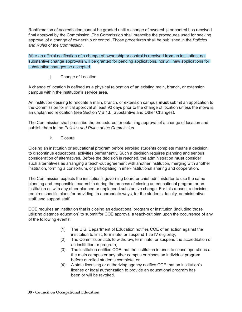Reaffirmation of accreditation cannot be granted until a change of ownership or control has received final approval by the Commission. The Commission shall prescribe the procedures used for seeking approval of a change of ownership or control. Those procedures shall be published in the *Policies and Rules of the Commission*.

After an official notification of a change of ownership or control is received from an institution, no substantive change approvals will be granted for pending applications, nor will new applications for substantive changes be accepted.

j. Change of Location

A change of location is defined as a physical relocation of an existing main, branch, or extension campus within the institution's service area.

An institution desiring to relocate a main, branch, or extension campus **must** submit an application to the Commission for initial approval at least 90 days prior to the change of location unless the move is an unplanned relocation (see Section V.B.1.f., Substantive and Other Changes).

The Commission shall prescribe the procedures for obtaining approval of a change of location and publish them in the *Policies and Rules of the Commission*.

k. Closure

Closing an institution or educational program before enrolled students complete means a decision to discontinue educational activities permanently. Such a decision requires planning and serious consideration of alternatives. Before the decision is reached, the administration **must** consider such alternatives as arranging a teach-out agreement with another institution, merging with another institution, forming a consortium, or participating in inter-institutional sharing and cooperation.

The Commission expects the institution's governing board or chief administrator to use the same planning and responsible leadership during the process of closing an educational program or an institution as with any other planned or unplanned substantive change. For this reason, a decision requires specific plans for providing, in appropriate ways, for the students, faculty, administrative staff, and support staff.

COE requires an institution that is closing an educational program or institution (including those utilizing distance education) to submit for COE approval a teach-out plan upon the occurrence of any of the following events:

- (1) The U.S. Department of Education notifies COE of an action against the institution to limit, terminate, or suspend Title IV eligibility;
- (2) The Commission acts to withdraw, terminate, or suspend the accreditation of an institution or program;
- (3) The institution notifies COE that the institution intends to cease operations at the main campus or any other campus or closes an individual program before enrolled students complete; or,
- (4) A state licensing or authorizing agency notifies COE that an institution's license or legal authorization to provide an educational program has been or will be revoked.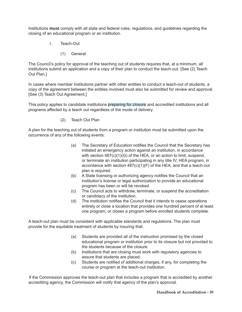Institutions **must** comply with all state and federal rules, regulations, and guidelines regarding the closing of an educational program or an institution.

- l. Teach-Out
	- (1) General

The Council's policy for approval of the teaching out of students requires that, at a minimum, all institutions submit an application and a copy of their plan to conduct the teach-out. [See (2) Teach Out Plan.]

In cases where member institutions partner with other entities to conduct a teach-out of students, a copy of the agreement between the entities involved must also be submitted for review and approval. [See (3) Teach Out Agreement.]

This policy applies to candidate institutions preparing for closure and accredited institutions and all programs affected by a teach out regardless of the mode of delivery.

(2) Teach Out Plan

A plan for the teaching out of students from a program or institution must be submitted upon the occurrence of any of the following events:

- (a) The Secretary of Education notifies the Council that the Secretary has initiated an emergency action against an institution, in accordance with section 487(c)(1)(G) of the HEA, or an action to limit, suspend, or terminate an institution participating in any title IV, HEA program, in accordance with section 487(c)(1)(F) of the HEA, and that a teach-out plan is required.
- (b) A State licensing or authorizing agency notifies the Council that an institution's license or legal authorization to provide an educational program has been or will be revoked.
- (c) The Council acts to withdraw, terminate, or suspend the accreditation or candidacy of the institution.
- (d) The institution notifies the Council that it intends to cease operations entirely or close a location that provides one hundred percent of at least one program, or closes a program before enrolled students complete.

A teach-out plan must be consistent with applicable standards and regulations. The plan must provide for the equitable treatment of students by insuring that:

- (a) Students are provided all of the instruction promised by the closed educational program or institution prior to its closure but not provided to the students because of the closure.
- (b) Institutions that are closing must work with regulatory agencies to assure that students are placed.
- (c) Students are notified of additional charges, if any, for completing the course or program at the teach-out institution.

If the Commission approves the teach-out plan that includes a program that is accredited by another accrediting agency, the Commission will notify that agency of the plan's approval.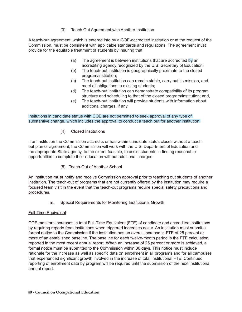(3) Teach Out Agreement with Another Institution

A teach-out agreement, which is entered into by a COE-accredited institution or at the request of the Commission, must be consistent with applicable standards and regulations. The agreement must provide for the equitable treatment of students by insuring that:

- (a) The agreement is between institutions that are accredited by an accrediting agency recognized by the U.S. Secretary of Education;
- (b) The teach-out institution is geographically proximate to the closed program/institution;
- (c) The teach-out institution can remain stable, carry out its mission, and meet all obligations to existing students;
- (d) The teach-out institution can demonstrate compatibility of its program structure and scheduling to that of the closed program/institution; and,
- (e) The teach-out institution will provide students with information about additional charges, if any.

# Insitutions in candidate status with COE are not permitted to seek approval of any type of substantive change, which includes the approval to conduct a teach out for another institution.

(4) Closed Institutions

If an institution the Commission accredits or has within candidate status closes without a teachout plan or agreement, the Commission will work with the U.S. Department of Education and the appropriate State agency, to the extent feasible, to assist students in finding reasonable opportunities to complete their education without additional charges.

(5) Teach-Out of Another School

An institution **must** notify and receive Commission approval prior to teaching out students of another institution. The teach-out of programs that are not currently offered by the institution may require a focused team visit in the event that the teach-out programs require special safety precautions and procedures.

m. Special Requirements for Monitoring Institutional Growth

# Full-Time Equivalent

COE monitors increases in total Full-Time Equivalent (FTE) of candidate and accredited institutions by requiring reports from institutions when triggered increases occur. An institution must submit a formal notice to the Commission if the institution has an overall increase in FTE of 25 percent or more of an established baseline. The baseline for each twelve-month period is the FTE calculation reported in the most recent annual report. When an increase of 25 percent or more is achieved, a formal notice must be submitted to the Commission within 30 days. This notice must include rationale for the increase as well as specific data on enrollment in all programs and for all campuses that experienced significant growth involved in the increase of total institutional FTE. Continued reporting of enrollment data by program will be required until the submission of the next institutional annual report.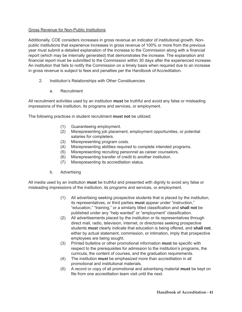### Gross Revenue for Non-Public Institutions

Additionally, COE considers increases in gross revenue an indicator of institutional growth. Nonpublic institutions that experience increases in gross revenue of 100% or more from the previous year must submit a detailed explanation of the increase to the Commission along with a financial report (which may be internally generated) that demonstrates the increase. The explanation and financial report must be submitted to the Commission within 30 days after the experienced increase. An institution that fails to notify the Commission on a timely basis when required due to an increase in gross revenue is subject to fees and penalties per the Handbook of Accreditation.

- 2. Institution's Relationships with Other Constituencies
	- a. Recruitment

All recruitment activities used by an institution **must** be truthful and avoid any false or misleading impressions of the institution, its programs and services, or employment.

The following practices in student recruitment **must not** be utilized:

- (1) Guaranteeing employment.
- (2) Misrepresenting job placement, employment opportunities, or potential salaries for completers.
- (3) Misrepresenting program costs.
- (4) Misrepresenting abilities required to complete intended programs.
- (5) Misrepresenting recruiting personnel as career counselors.
- (6) Misrepresenting transfer of credit to another institution.
- (7) Misrepresenting its accreditation status.
- b. Advertising

All media used by an institution **must** be truthful and presented with dignity to avoid any false or misleading impressions of the institution, its programs and services, or employment.

- (1) All advertising seeking prospective students that is placed by the institution, its representatives, or third parties **must** appear under "instruction," "education," "training," or a similarly titled classification and **shall not** be published under any "help wanted" or "employment" classification.
- (2) All advertisements placed by the institution or its representatives through direct mail, radio, television, internet, or directories seeking prospective students **must** clearly indicate that education is being offered, and **shall not**, either by actual statement, commission, or intimation, imply that prospective employees are being sought.
- (3) Printed bulletins or other promotional information must be specific with respect to the prerequisites for admission to the institution's programs, the curricula, the content of courses, and the graduation requirements.
- (4) The institution **must** be emphasized more than accreditation in all promotional and institutional materials.
- (5) A record or copy of all promotional and advertising material **must** be kept on file from one accreditation team visit until the next.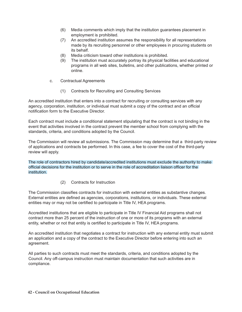- (6) Media comments which imply that the institution guarantees placement in employment is prohibited.
- (7) An accredited institution assumes the responsibility for all representations made by its recruiting personnel or other employees in procuring students on its behalf.
- (8) Media criticism toward other institutions is prohibited.
- (9) The institution must accurately portray its physical facilities and educational programs in all web sites, bulletins, and other publications, whether printed or online.
- c. Contractual Agreements
	- (1) Contracts for Recruiting and Consulting Services

An accredited institution that enters into a contract for recruiting or consulting services with any agency, corporation, institution, or individual must submit a copy of the contract and an official notification form to the Executive Director.

Each contract must include a conditional statement stipulating that the contract is not binding in the event that activities involved in the contract prevent the member school from complying with the standards, criteria, and conditions adopted by the Council.

The Commission will review all submissions. The Commission may determine that a third-party review of applications and contracts be performed. In this case, a fee to cover the cost of the third-party review will apply.

The role of contractors hired by candidate/accredited institutions must exclude the authority to make official decisions for the institution or to serve in the role of accreditation liaison officer for the institution.

(2) Contracts for Instruction

The Commission classifies contracts for instruction with external entities as substantive changes. External entities are defined as agencies, corporations, institutions, or individuals. These external entities may or may not be certified to participate in Title IV, HEA programs.

Accredited institutions that are eligible to participate in Title IV Financial Aid programs shall not contract more than 25 percent of the instruction of one or more of its programs with an external entity, whether or not that entity is certified to participate in Title IV, HEA programs.

An accredited institution that negotiates a contract for instruction with any external entity must submit an application and a copy of the contract to the Executive Director before entering into such an agreement.

All parties to such contracts must meet the standards, criteria, and conditions adopted by the Council. Any off-campus instruction must maintain documentation that such activities are in compliance.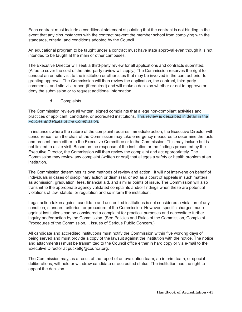Each contract must include a conditional statement stipulating that the contract is not binding in the event that any circumstances with the contract prevent the member school from complying with the standards, criteria, and conditions adopted by the Council.

An educational program to be taught under a contract must have state approval even though it is not intended to be taught at the main or other campuses.

The Executive Director will seek a third-party review for all applications and contracts submitted. (A fee to cover the cost of the third-party review will apply.) The Commission reserves the right to conduct an on-site visit to the institution or other sites that may be involved in the contract prior to granting approval. The Commission will then review the application, the contract, third-party comments, and site visit report (if required) and will make a decision whether or not to approve or deny the submission or to request additional information.

d. Complaints

The Commission reviews all written, signed complaints that allege non-compliant activities and practices of applicant, candidate, or accredited institutions. This review is described in detail in the *Policies and Rules of the Commission*.

In instances where the nature of the complaint requires immediate action, the Executive Director with concurrence from the chair of the Commission may take emergency measures to determine the facts and present them either to the Executive Committee or to the Commission. This may include but is not limited to a site visit. Based on the response of the institution or the findings presented by the Executive Director, the Commission will then review the complaint and act appropriately. The Commission may review any complaint (written or oral) that alleges a safety or health problem at an institution.

The Commission determines its own methods of review and action. It will not intervene on behalf of individuals in cases of disciplinary action or dismissal, or act as a court of appeals in such matters as admission, graduation, fees, financial aid, and similar points of issue. The Commission will also transmit to the appropriate agency validated complaints and/or findings when these are potential violations of law, statute, or regulation and so inform the institution.

Legal action taken against candidate and accredited institutions is not considered a violation of any condition, standard, criterion, or procedure of the Commission. However, specific charges made against institutions can be considered a complaint for practical purposes and necessitate further inquiry and/or action by the Commission. (See Policies and Rules of the Commission, Complaint Procedures of the Commission, I. Issues of Serious Public Concern.)

All candidate and accredited institutions must notify the Commission within five working days of being served and must provide a copy of the lawsuit against the institution with the notice. The notice and attachment(s) must be transmitted to the Council office either in hard copy or via e-mail to the Executive Director at puckettg@council.org.

The Commission may, as a result of the report of an evaluation team, an interim team, or special deliberations, withhold or withdraw candidate or accredited status. The institution has the right to appeal the decision.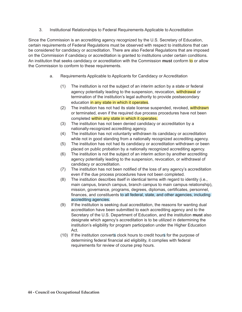3. Institutional Relationships to Federal Requirements Applicable to Accreditation

Since the Commission is an accrediting agency recognized by the U.S. Secretary of Education, certain requirements of Federal Regulations must be observed with respect to institutions that can be considered for candidacy or accreditation. There are also Federal Regulations that are imposed on the Commission if candidacy or accreditation is granted to institutions under certain conditions. An institution that seeks candidacy or accreditation with the Commission **must** conform to or allow the Commission to conform to these requirements.

- a. Requirements Applicable to Applicants for Candidacy or Accreditation
	- (1) The institution is not the subject of an interim action by a state or federal agency potentially leading to the suspension, revocation, withdrawal or termination of the institution's legal authority to provide postsecondary education in any state in which it operates.
	- (2) The institution has not had its state license suspended, revoked, withdrawn or terminated, even if the required due process procedures have not been completed within any state in which it operates.
	- (3) The institution has not been denied candidacy or accreditation by a nationally-recognized accrediting agency.
	- (4) The institution has not voluntarily withdrawn its candidacy or accreditation while not in good standing from a nationally recognized accrediting agency.
	- (5) The institution has not had its candidacy or accreditation withdrawn or been placed on public probation by a nationally recognized accrediting agency.
	- (6) The institution is not the subject of an interim action by another accrediting agency potentially leading to the suspension, revocation, or withdrawal of candidacy or accreditation.
	- (7) The institution has not been notified of the loss of any agency's accreditation even if the due process procedures have not been completed.
	- (8) The institution describes itself in identical terms with regard to identity (i.e., main campus, branch campus, branch campus to main campus relationship), mission, governance, programs, degrees, diplomas, certificates, personnel, finances, and constituents to all federal, state, and other agencies, including accrediting agencies.
	- (9) If the institution is seeking dual accreditation, the reasons for wanting dual accreditation have been submitted to each accrediting agency and to the Secretary of the U.S. Department of Education, and the institution **must** also designate which agency's accreditation is to be utilized in determining the institution's eligibility for program participation under the Higher Education Act.
	- (10) If the institution converts clock hours to credit hours for the purpose of determining federal financial aid eligibility, it complies with federal requirements for review of course prep hours.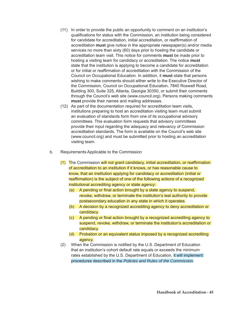- (11) In order to provide the public an opportunity to comment on an institution's qualifications for status with the Commission, an institution being considered for candidate for accreditation, initial accreditation, or reaffirmation of accreditation **must** give notice in the appropriate newspaper(s) and/or media services no more than sixty (60) days prior to hosting the candidate or accreditation team visit. This notice for comments **must** be made prior to hosting a visiting team for candidacy or accreditation. The notice **must** state that the institution is applying to become a candidate for accreditation or for initial or reaffirmation of accreditation with the Commission of the Council on Occupational Education. In addition, it **must** state that persons wishing to make comments should either write to the Executive Director of the Commission, Council on Occupational Education, 7840 Roswell Road, Building 300, Suite 325, Atlanta, Georgia 30350, or submit their comments through the Council's web site (www.council.org). Persons making comments **must** provide their names and mailing addresses.
- (12) As part of the documentation required for accreditation team visits, institutions preparing to host an accreditation visiting team must submit an evaluation of standards form from one of its occupational advisory committees. This evaluation form requests that advisory committees provide their input regarding the adequacy and relevancy of Commission accreditation standards. The form is available on the Council's web site (www.council.org) and must be submitted prior to hosting an accreditation visiting team.
- b. Requirements Applicable to the Commission
	- $(1)$  The Commission will not grant candidacy, initial accreditation, or reaffirmation of accreditation to an institution if it knows, or has reasonable cause to know, that an institution applying for candidacy or accreditation (initial or reaffirmation) is the subject of one of the following actions of a recognized institutional accrediting agency or state agency:
		- $(a)$  A pending or final action brought by a state agency to suspend, revoke, withdraw, or terminate the institution's leal authority to provide postsecondary education in any state in which it operates.
		- (b) A decision by a recognized accrediting agency to deny accreditation or candidacy.
		- (c) A pending or final action brought by a recognized accrediting agency to suspend, revoke, withdraw, or terminate the institution's accreditation or candidacy.
		- (d) Probation or an equivalent status imposed by a recognized accrediting agency.
	- (2) When the Commission is notified by the U.S. Department of Education that an institution's cohort default rate equals or exceeds the minimum rates established by the U.S. Department of Education, it will implement procedures described in the *Policies and Rules of the Commission*.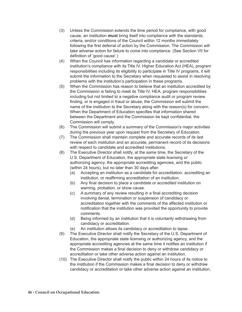- (3) Unless the Commission extends the time period for compliance, with good cause, an institution **must** bring itself into compliance with the standards, criteria, and/or conditions of the Council within 12 months immediately following the first deferral of action by the Commission. The Commission will take adverse action for failure to come into compliance. (See Section VII for definition of 'good cause'.)
- (4) When the Council has information regarding a candidate or accredited institution's compliance with its Title IV, Higher Education Act (HEA), program responsibilities including its eligibility to participate in Title IV programs, it will submit the information to the Secretary when requested to assist in resolving problems with the institution's participation in these programs.
- (5) When the Commission has reason to believe that an institution accredited by the Commission is failing to meet its Title IV, HEA, program responsibilities including but not limited to a negative compliance audit or program review finding, or is engaged in fraud or abuse, the Commission will submit the name of the institution to the Secretary along with the reason(s) for concern. When the Department of Education specifies that information shared between the Department and the Commission be kept confidential, the Commission will comply.
- (6) The Commission will submit a summary of the Commission's major activities during the previous year upon request from the Secretary of Education.
- (7) The Commission shall maintain complete and accurate records of its last review of each institution and an accurate, permanent record of its decisions with respect to candidate and accredited institutions.
- (8) The Executive Director shall notify, at the same time, the Secretary of the U.S. Department of Education, the appropriate state licensing or authorizing agency, the appropriate accrediting agencies, and the public (within 24 hours), but no later than 30 days after:
	- (a) Accepting an institution as a candidate for accreditation, accrediting an institution, or reaffirming accreditation of an institution.
	- (b) Any final decision to place a candidate or accredited institution on warning, probation, or show cause.
	- (c) A summary of any review resulting in a final accrediting decision involving denial, termination or suspension of candidacy or accreditation together with the comments of the affected institution or notification that the institution was provided the opportunity to provide comments.
	- (d) Being informed by an institution that it is voluntarily withdrawing from candidacy or accreditation.
	- (e) An institution allows its candidacy or accreditation to lapse.
- (9) The Executive Director shall notify the Secretary of the U.S. Department of Education, the appropriate state licensing or authorizing agency, and the appropriate accrediting agencies at the same time it notifies an institution if the Commission makes a final decision to deny or withdraw candidacy or accreditation or take other adverse action against an institution.
- (10) The Executive Director shall notify the public within 24 hours of its notice to the institution if the Commission makes a final decision to deny or withdraw candidacy or accreditation or take other adverse action against an institution.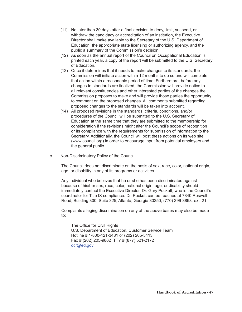- (11) No later than 30 days after a final decision to deny, limit, suspend, or withdraw the candidacy or accreditation of an institution, the Executive Director shall make available to the Secretary of the U.S. Department of Education, the appropriate state licensing or authorizing agency, and the public a summary of the Commission's decision.
- (12) As soon as the annual report of the Council on Occupational Education is printed each year, a copy of the report will be submitted to the U.S. Secretary of Education.
- (13) Once it determines that it needs to make changes to its standards, the Commission will initiate action within 12 months to do so and will complete that action within a reasonable period of time. Furthermore, before any changes to standards are finalized, the Commission will provide notice to all relevant constituencies and other interested parties of the changes the Commission proposes to make and will provide those parties the opportunity to comment on the proposed changes. All comments submitted regarding proposed changes to the standards will be taken into account.
- (14) All proposed revisions in the standards, criteria, conditions, and/or procedures of the Council will be submitted to the U.S. Secretary of Education at the same time that they are submitted to the membership for consideration if the revisions might alter the Council's scope of recognition or its compliance with the requirements for submission of information to the Secretary. Additionally, the Council will post these actions on its web site (www.council.org) in order to encourage input from potential employers and the general public.
- c. Non-Discriminatory Policy of the Council

 The Council does not discriminate on the basis of sex, race, color, national origin, age, or disability in any of its programs or activities.

 Any individual who believes that he or she has been discriminated against because of his/her sex, race, color, national origin, age, or disability should immediately contact the Executive Director, Dr. Gary Puckett, who is the Council's coordinator for Title IX compliance. Dr. Puckett can be reached at 7840 Roswell Road, Building 300, Suite 325, Atlanta, Georgia 30350, (770) 396-3898, ext. 21.

 Complaints alleging discrimination on any of the above bases may also be made to:

The Office for Civil Rights U.S. Department of Education, Customer Service Team Hotline # 1-800-421-3481 or (202) 205-5413 Fax # (202) 205-9862 TTY # (877) 521-2172 ocr@ed.gov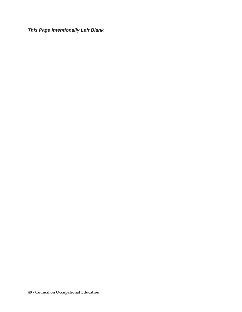*This Page Intentionally Left Blank*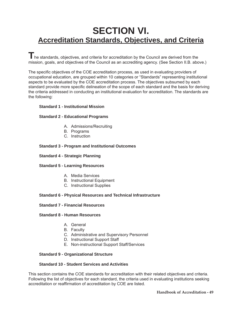# **SECTION VI. Accreditation Standards, Objectives, and Criteria**

The standards, objectives, and criteria for accreditation by the Council are derived from the mission, goals, and objectives of the Council as an accrediting agency. (See Section II.B. above.)

The specific objectives of the COE accreditation process, as used in evaluating providers of occupational education, are grouped within 10 categories or "Standards" representing institutional aspects to be evaluated by the COE accreditation process. The objectives subsumed by each standard provide more specific delineation of the scope of each standard and the basis for deriving the criteria addressed in conducting an institutional evaluation for accreditation. The standards are the following:

#### **Standard 1 - Institutional Mission**

### **Standard 2 - Educational Programs**

- A. Admissions/Recruiting
- B. Programs
- C. Instruction

### **Standard 3 - Program and Institutional Outcomes**

#### **Standard 4 - Strategic Planning**

#### **Standard 5 - Learning Resources**

- A. Media Services
- B. Instructional Equipment
- C. Instructional Supplies

#### **Standard 6 - Physical Resources and Technical Infrastructure**

#### **Standard 7 - Financial Resources**

#### **Standard 8 - Human Resources**

- A. General
- B. Faculty
- C. Administrative and Supervisory Personnel
- D. Instructional Support Staff
- E. Non-instructional Support Staff/Services

# **Standard 9 - Organizational Structure**

#### **Standard 10 - Student Services and Activities**

This section contains the COE standards for accreditation with their related objectives and criteria. Following the list of objectives for each standard, the criteria used in evaluating institutions seeking accreditation or reaffirmation of accreditation by COE are listed.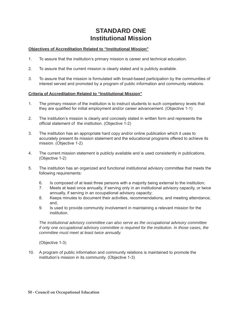# **STANDARD ONE Institutional Mission**

### **Objectives of Accreditation Related to "Institutional Mission"**

- 1. To assure that the institution's primary mission is career and technical education.
- 2. To assure that the current mission is clearly stated and is publicly available.
- 3. To assure that the mission is formulated with broad-based participation by the communities of interest served and promoted by a program of public information and community relations.

#### **Criteria of Accreditation Related to "Institutional Mission"**

- 1. The primary mission of the institution is to instruct students to such competency levels that they are qualified for initial employment and/or career advancement. (Objective 1-1)
- 2. The institution's mission is clearly and concisely stated in written form and represents the official statement of the institution. (Objective 1-2)
- 3. The institution has an appropriate hard copy and/or online publication which it uses to accurately present its mission statement and the educational programs offered to achieve its mission. (Objective 1-2)
- 4. The current mission statement is publicly available and is used consistently in publications. (Objective 1-2)
- 5. The institution has an organized and functional institutional advisory committee that meets the following requirements:
	- 6. Is composed of at least three persons with a majority being external to the institution;
	- 7. Meets at least once annually, if serving only in an institutional advisory capacity, or twice annually, if serving in an occupational advisory capacity;
	- 8. Keeps minutes to document their activities, recommendations, and meeting attendance; and,
	- 9. Is used to provide community involvement in maintaining a relevant mission for the institution.

*The institutional advisory committee can also serve as the occupational advisory committee if only one occupational advisory committee is required for the institution. In those cases, the committee must meet at least twice annually.*

(Objective 1-3)

10. A program of public information and community relations is maintained to promote the institution's mission in its community. (Objective 1-3)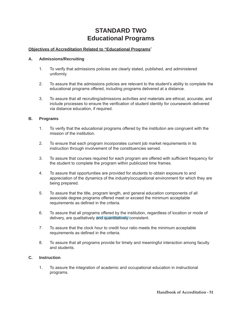# **STANDARD TWO Educational Programs**

#### **Objectives of Accreditation Related to "Educational Programs**"

#### **A. Admissions/Recruiting**

- 1. To verify that admissions policies are clearly stated, published, and administered uniformly.
- 2. To assure that the admissions policies are relevant to the student's ability to complete the educational programs offered, including programs delivered at a distance.
- 3. To assure that all recruiting/admissions activities and materials are ethical, accurate, and include processes to ensure the verification of student identity for coursework delivered via distance education, if required.

#### **B. Programs**

- 1. To verify that the educational programs offered by the institution are congruent with the mission of the institution.
- 2. To ensure that each program incorporates current job market requirements in its instruction through involvement of the constituencies served.
- 3. To assure that courses required for each program are offered with sufficient frequency for the student to complete the program within publicized time frames.
- 4. To assure that opportunities are provided for students to obtain exposure to and appreciation of the dynamics of the industry/occupational environment for which they are being prepared.
- 5. To assure that the title, program length, and general education components of all associate degree programs offered meet or exceed the minimum acceptable requirements as defined in the criteria.
- 6. To assure that all programs offered by the institution, regardless of location or mode of delivery, are qualitatively and quantitatively consistent.
- 7. To assure that the clock hour to credit hour ratio meets the minimum acceptable requirements as defined in the criteria.
- 8. To assure that all programs provide for timely and meaningful interaction among faculty and students.

#### **C. Instruction**

 1. To assure the integration of academic and occupational education in instructional programs.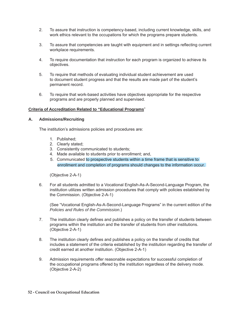- 2. To assure that instruction is competency-based, including current knowledge, skills, and work ethics relevant to the occupations for which the programs prepare students.
- 3. To assure that competencies are taught with equipment and in settings reflecting current workplace requirements.
- 4. To require documentation that instruction for each program is organized to achieve its objectives.
- 5. To require that methods of evaluating individual student achievement are used to document student progress and that the results are made part of the student's permanent record.
- 6. To require that work-based activities have objectives appropriate for the respective programs and are properly planned and supervised.

#### **Criteria of Accreditation Related to "Educational Programs**"

#### **A. Admissions/Recruiting**

The institution's admissions policies and procedures are:

- 1. Published;
- 2. Clearly stated;
- 3. Consistently communicated to students;
- 4. Made available to students prior to enrollment; and,
- 5. Communicated to prospective students within a time frame that is sensitive to enrollment and completion of programs should changes to the information occur.

(Objective 2-A-1)

 6. For all students admitted to a Vocational English-As-A-Second-Language Program, the institution utilizes written admission procedures that comply with policies established by the Commission. (Objective 2-A-1)

 (See "Vocational English-As-A-Second-Language Programs" in the current edition of the *Policies and Rules of the Commission*.)

- 7. The institution clearly defines and publishes a policy on the transfer of students between programs within the institution and the transfer of students from other institutions. (Objective 2-A-1)
- 8. The institution clearly defines and publishes a policy on the transfer of credits that includes a statement of the criteria established by the institution regarding the transfer of credit earned at another institution. (Objective 2-A-1)
- 9. Admission requirements offer reasonable expectations for successful completion of the occupational programs offered by the institution regardless of the delivery mode. (Objective 2-A-2)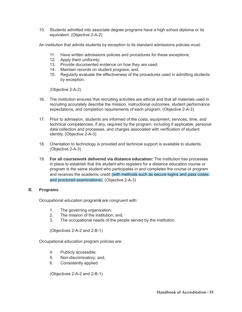10. Students admitted into associate degree programs have a high school diploma or its equivalent. (Objective 2-A-2)

An institution that admits students by exception to its standard admissions policies must:

- 11. Have written admissions policies and procedures for these exceptions;
- 12. Apply them uniformly;
- 13. Provide documented evidence on how they are used;
- 14. Maintain records on student progress; and,
- 15. Regularly evaluate the effectiveness of the procedures used in admitting students by exception.

(Objective 2-A-2)

- 16. The institution ensures that recruiting activities are ethical and that all materials used in recruiting accurately describe the mission, instructional outcomes, student performance expectations, and completion requirements of each program. (Objective 2-A-3)
- 17. Prior to admission, students are informed of the costs, equipment, services, time, and technical competencies, if any, required by the program, including if applicable, personal data collection and processes, and charges associated with verification of student identity. (Objective 2-A-3)
- 18. Orientation to technology is provided and technical support is available to students. (Objective 2-A-3)
- 19. **For all coursework delivered via distance education:** The institution has processes in place to establish that the student who registers for a distance education course or program is the same student who participates in and completes the course or program and receives the academic credit (with methods such as secure logins and pass codes and proctored examinations). (Objective 2-A-3)

#### **B. Programs**

Occupational education programs are congruent with:

- 1. The governing organization;
- 2. The mission of the institution; and,
- 3. The occupational needs of the people served by the institution.

(Objectives 2-A-2 and 2-B-1)

Occupational education program policies are:

- 4. Publicly accessible;
- 5. Non-discriminatory; and,
- 6. Consistently applied.

(Objectives 2-A-2 and 2-B-1)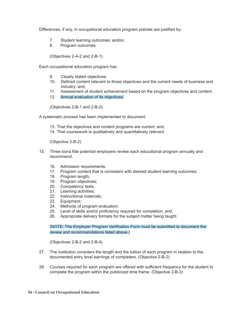Differences, if any, in occupational education program policies are justified by:

- 7. Student learning outcomes; and/or,
- 8. Program outcomes.

(Objectives 2-A-2 and 2-B-1)

Each occupational education program has:

- 9. Clearly stated objectives;
- 10. Defined content relevant to those objectives and the current needs of business and industry; and,
- 11. Assessment of student achievement based on the program objectives and content.
- 12. Annual evaluation of its objectives.

(Objectives 2-B-1 and 2-B-2)

A systematic process has been implemented to document:

- 13. That the objectives and content programs are current; and,
- 14. That coursework is qualitatively and quantitatively relevant.

(Objective 2-B-2)

- 15. Three bona fide potential employers review each educational program annually and recommend:
	- 16. Admission requirements;
	- 17. Program content that is consistent with desired student learning outcomes;
	- 18. Program length;
	- 19. Program objectives;
	- 20. Competency tests;
	- 21. Learning activities;
	- 22. Instructional materials;
	- 23. Equipment;
	- 24. Methods of program evaluation;
	- 25. Level of skills and/or proficiency required for completion; and,
	- 26. Appropriate delivery formats for the subject matter being taught.

(NOTE: The Employer Program Verification Form must be submitted to document the review and recommendations listed above.)

(Objectives 2-B-2 and 2-B-4)

- 27. The institution considers the length and the tuition of each program in relation to the documented entry level earnings of completers. (Objective 2-B-2)
- 28. Courses required for each program are offered with sufficient frequency for the student to complete the program within the publicized time frame. (Objective 2-B-3)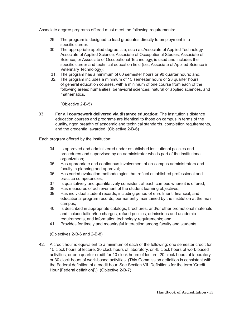Associate degree programs offered must meet the following requirements:

- 29. The program is designed to lead graduates directly to employment in a specific career.
- 30. The appropriate applied degree title, such as Associate of Applied Technology, Associate of Applied Science, Associate of Occupational Studies, Associate of Science, or Associate of Occupational Technology, is used and includes the specific career and technical education field (i.e., Associate of Applied Science in Veterinary Technology);
- 31. The program has a minimum of 60 semester hours or 90 quarter hours; and,
- 32. The program includes a minimum of 15 semester hours or 23 quarter hours of general education courses, with a minimum of one course from each of the following areas: humanities, behavioral sciences, natural or applied sciences, and mathematics.

(Objective 2-B-5)

 33. **For all coursework delivered via distance education:** The institution's distance education courses and programs are identical to those on campus in terms of the quality, rigor, breadth of academic and technical standards, completion requirements, and the credential awarded. (Objective 2-B-6)

Each program offered by the institution:

- 34. Is approved and administered under established institutional policies and procedures and supervised by an administrator who is part of the institutional organization;
- 35. Has appropriate and continuous involvement of on-campus administrators and faculty in planning and approval;
- 36. Has varied evaluation methodologies that reflect established professional and practice competencies;
- 37. Is qualitatively and quantitatively consistent at each campus where it is offered;
- 38. Has measures of achievement of the student learning objectives;
- 39. Has individual student records, including period of enrollment, financial, and educational program records, permanently maintained by the institution at the main campus;
- 40. Is described in appropriate catalogs, brochures, and/or other promotional materials and include tuition/fee charges, refund policies, admissions and academic requirements, and information technology requirements; and,
- 41. Provides for timely and meaningful interaction among faculty and students.

(Objectives 2-B-6 and 2-B-8)

 42. A credit hour is equivalent to a minimum of each of the following: one semester credit for 15 clock hours of lecture, 30 clock hours of laboratory, or 45 clock hours of work-based activities; or one quarter credit for 10 clock hours of lecture, 20 clock hours of laboratory, or 30 clock hours of work-based activities. (This Commission definition is consistent with the Federal definition of a credit hour. See Section VII. Definitions for the term 'Credit Hour [Federal definition]'.) (Objective 2-B-7)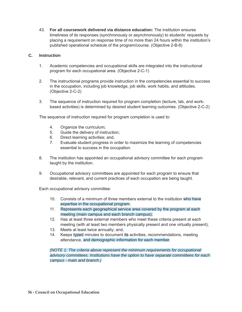43. **For all coursework delivered via distance education:** The institution ensures timeliness of its responses (synchronously or asynchronously) to students' requests by placing a requirement on response time of no more than 24 hours within the institution's published operational schedule of the program/course. (Objective 2-B-8)

# **C. Instruction**

- 1. Academic competencies and occupational skills are integrated into the instructional program for each occupational area. (Objective 2-C-1)
- 2. The instructional programs provide instruction in the competencies essential to success in the occupation, including job knowledge, job skills, work habits, and attitudes. (Objective 2-C-2)
- 3. The sequence of instruction required for program completion (lecture, lab, and workbased activities) is determined by desired student learning outcomes. (Objective 2-C-2)

The sequence of instruction required for program completion is used to:

- 4. Organize the curriculum;
- 5. Guide the delivery of instruction;
- 6. Direct learning activities; and,
- 7. Evaluate student progress in order to maximize the learning of competencies essential to success in the occupation.
- 8. The institution has appointed an occupational advisory committee for each program taught by the institution.
- 9. Occupational advisory committees are appointed for each program to ensure that desirable, relevant, and current practices of each occupation are being taught.

Each occupational advisory committee:

- 10. Consists of a minimum of three members external to the institution who have expertise in the occupational program;
- 11. Represents each geographical service area covered by the program at each meeting (main campus and each branch campus);
- 12. Has at least three external members who meet these criteria present at each meeting (with at least two members physically present and one virtually present);
- 13. Meets at least twice annually; and,
- 14. Keeps typed minutes to document its activities, recommendations, meeting attendance, and demographic information for each member.

 *(NOTE 1: The criteria above represent the minimum requirements for occupational advisory committees. Institutions have the option to have separate committees for each campus - main and branch.)*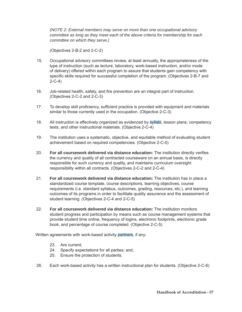*(NOTE 2: External members may serve on more than one occupational advisory committee as long as they meet each of the above criteria for membership for each committee on which they serve.)*

(Objectives 2-B-2 and 2-C-2)

- 15. Occupational advisory committees review, at least annually, the appropriateness of the type of instruction (such as lecture, laboratory, work-based instruction, and/or mode of delivery) offered within each program to assure that students gain competency with specific skills required for successful completion of the program. (Objectives 2-B-7 and 2-C-4)
- 16. Job-related health, safety, and fire prevention are an integral part of instruction. (Objectives 2-C-2 and 2-C-3)
- 17. To develop skill proficiency, sufficient practice is provided with equipment and materials similar to those currently used in the occupation. (Objective 2-C-3)
- 18. All instruction is effectively organized as evidenced by syllabi, lesson plans, competency tests, and other instructional materials. (Objective 2-C-4)
- 19. The institution uses a systematic, objective, and equitable method of evaluating student achievement based on required competencies. (Objective 2-C-5)
- 20. **For all coursework delivered via distance education:** The institution directly verifies the currency and quality of all contracted courseware on an annual basis, is directly responsible for such currency and quality, and maintains curriculum oversight responsibility within all contracts. (Objectives 2-C-2 and 2-C-4)
- 21. **For all coursework delivered via distance education:** The institution has in place a standardized course template, course descriptions, learning objectives, course requirements (i.e. standard syllabus, outcomes, grading, resources, etc.), and learning outcomes of its programs in order to facilitate quality assurance and the assessment of student learning. (Objectives 2-C-4 and 2-C-5)
- 22. **For all coursework delivered via distance education:** The institution monitors student progress and participation by means such as course management systems that provide student time online, frequency of logins, electronic footprints, electronic grade book, and percentage of course completed. (Objective 2-C-5)

Written agreements with work-based activity partners, if any:

- 23. Are current;
- 24. Specify expectations for all parties; and,
- 25. Ensure the protection of students.
- 26. Each work-based activity has a written instructional plan for students. (Objective 2-C-6)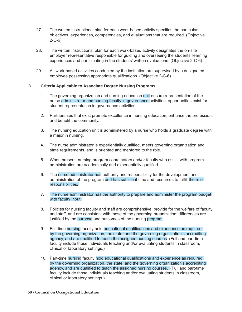- 27. The written instructional plan for each work-based activity specifies the particular objectives, experiences, competencies, and evaluations that are required. (Objective 2-C-6)
- 28. The written instructional plan for each work-based activity designates the on-site employer representative responsible for guiding and overseeing the students' learning experiences and participating in the students' written evaluations. (Objective 2-C-6)
- 29. All work-based activities conducted by the institution are supervised by a designated employee possessing appropriate qualifications. (Objective 2-C-6)

#### **D. Criteria Applicable to Associate Degree Nursing Programs**

- 1. The governing organization and nursing education unit ensure representation of the nurse administrator and nursing faculty in governance activities; opportunities exist for student representation in governance activities.
- 2. Partnerships that exist promote excellence in nursing education, enhance the profession, and benefit the community.
- 3. The nursing education unit is administered by a nurse who holds a graduate degree with a major in nursing.
- 4. The nurse administrator is experientially qualified, meets governing organization and state requirements, and is oriented and mentored to the role.
- 5. When present, nursing program coordinators and/or faculty who assist with program administration are academically and experientially qualified.
- 6. The nurse administrator has authority and responsibility for the development and administration of the program and has sufficient time and resources to fulfill the role responsibilities.
- 7. The nurse administrator has the authority to prepare and administer the program budget with faculty input.
- 8. Policies for nursing faculty and staff are comprehensive, provide for the welfare of faculty and staff, and are consistent with those of the governing organization; differences are justified by the purpose and outcomes of the nursing program.
- 9. Full-time nursing faculty hold educational qualifications and experience as required by the governing organization, the state, and the governing organization's accrediting agency, and are qualified to teach the assigned nursing courses. (Full and part-time faculty include those individuals teaching and/or evaluating students in classroom, clinical or laboratory settings.)
- 10. Part-time nursing faculty hold educational qualifications and experience as required by the governing organization, the state, and the governing organization's accrediting agency, and are qualified to teach the assigned nursing courses. (Full and part-time faculty include those individuals teaching and/or evaluating students in classroom, clinical or laboratory settings.)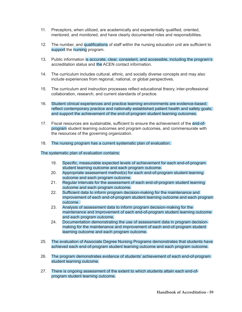- 11. Preceptors, when utilized, are academically and experientially qualified, oriented, mentored, and monitored, and have clearly documented roles and responsibilities.
- 12. The number, and qualifications of staff within the nursing education unit are sufficient to support the nursing program.
- 13. Public information is accurate, clear, consistent, and accessible, including the program's accreditation status and the ACEN contact information.
- 14. The curriculum includes cultural, ethnic, and socially diverse concepts and may also include experiences from regional, national, or global perspectives.
- 15. The curriculum and instruction processes reflect educational theory, inter-professional collaboration, research, and current standards of practice.
- 16. Student clinical experiences and practice learning environments are evidence-based; reflect contemporary practice and nationally established patient health and safety goals; and support the achievement of the end-of-program student learning outcomes.
- 17. Fiscal resources are sustainable, sufficient to ensure the achievement of the end-ofprogram student learning outcomes and program outcomes, and commensurate with the resources of the governing organization.
- 18. The nursing program has a current systematic plan of evaluation.

#### The systematic plan of evaluation contains:

- 19. Specific, measurable expected levels of achievement for each end-of-program student learning outcome and each program outcome.
- 20. Appropriate assessment method(s) for each end-of-program student learning outcome and each program outcome.
- 21. Regular intervals for the assessment of each end-of-program student learning outcome and each program outcome.
- 22. Sufficient data to inform program decision-making for the maintenance and improvement of each end-of-program student learning outcome and each program outcome.
- 23. Analysis of assessment data to inform program decision-making for the maintenance and improvement of each end-of-program student learning outcome and each program outcome.
- 24. Documentation demonstrating the use of assessment data in program decisionmaking for the maintenance and improvement of each end-of-program student learning outcome and each program outcome.
- 25. The evaluation of Associate Degree Nursing Programs demonstrates that students have achieved each end-of-program student learning outcome and each program outcome.
- 26. The program demonstrates evidence of students' achievement of each end-of-program student learning outcome.
- 27. There is ongoing assessment of the extent to which students attain each end-ofprogram student learning outcome.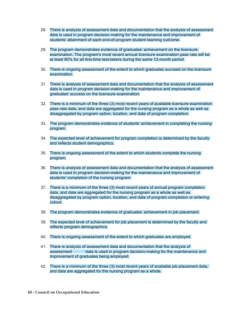- 28. There is analysis of assessment data and documentation that the analysis of assessment data is used in program decision-making for the maintenance and improvement of students' attainment of each end-of-program student learning outcome.
- 29. The program demonstrates evidence of graduates' achievement on the licensure examination. The program's most recent annual licensure examination pass rate will be at least 80% for all first-time test-takers during the same 12-month period.
- 30. There is ongoing assessment of the extent to which graduates succeed on the licensure examination.
- 31. There is analysis of assessment data and documentation that the analysis of assessment data is used in program decision-making for the maintenance and improvement of graduates' success on the licensure examination.
- 32. There is a minimum of the three (3) most recent years of available licensure examination pass rate data, and data are aggregated for the nursing program as a whole as well as disaggregated by program option, location, and date of program completion.
- 33. The program demonstrates evidence of students' achievement in completing the nursing program.
- 34. The expected level of achievement for program completion is determined by the faculty and reflects student demographics.
- 35. There is ongoing assessment of the extent to which students complete the nursing program.
- 36. There is analysis of assessment data and documentation that the analysis of assessment data is used in program decision-making for the maintenance and improvement of students' completion of the nursing program.
- 37. There is a minimum of the three (3) most recent years of annual program completion data, and data are aggregated for the nursing program as a whole as well as disaggregated by program option, location, and date of program completion or entering cohort.
- 38. The program demonstrates evidence of graduates' achievement in job placement.
- 39. The expected level of achievement for job placement is determined by the faculty and reflects program demographics.
- 40. There is ongoing assessment of the extent to which graduates are employed.
- 41. There is analysis of assessment data and documentation that the analysis of assessment data is used in program decision-making for the maintenance and improvement of graduates being employed.
- 42. There is a minimum of the three (3) most recent years of available job placement data, and data are aggregated for the nursing program as a whole.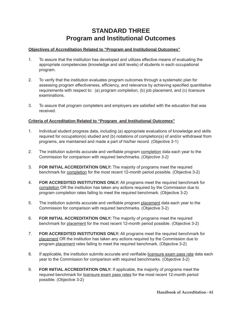# **STANDARD THREE Program and Institutional Outcomes**

#### **Objectives of Accreditation Related to "Program and Institutional Outcomes"**

- 1. To assure that the institution has developed and utilizes effective means of evaluating the appropriate competencies (knowledge and skill levels) of students in each occupational program.
- 2. To verify that the institution evaluates program outcomes through a systematic plan for assessing program effectiveness, efficiency, and relevance by achieving specified quantitative requirements with respect to: (a) program completion, (b) job placement, and (c) licensure examinations.
- 3. To assure that program completers and employers are satisfied with the education that was received.

### **Criteria of Accreditation Related to "Program and Institutional Outcomes"**

- 1. Individual student progress data, including (a) appropriate evaluations of knowledge and skills required for occupation(s) studied and (b) notations of completion(s) of and/or withdrawal from programs, are maintained and made a part of his/her record. (Objective 3-1)
- 2. The institution submits accurate and verifiable program completion data each year to the Commission for comparison with required benchmarks*. (Objective 3-2)*
- 3. **FOR INITIAL ACCREDITATION ONLY:** The majority of programs meet the required benchmark for completion for the most recent 12-month period possible. (Objective 3-2)
- 4. **FOR ACCREDITED INSTITUTIONS ONLY:** All programs meet the required benchmark for completion OR the institution has taken any actions required by the Commission due to program completion rates failing to meet the required benchmark. (Objective 3-2)
- 5. The institution submits accurate and verifiable program placement data each year to the Commission for comparison with required benchmarks. (Objective 3-2)
- 6. **FOR INITIAL ACCREDITATION ONLY:** The majority of programs meet the required benchmark for placement for the most recent 12-month period possible. (Objective 3-2)
- 7. **FOR ACCREDITED INSTITUTIONS ONLY:** All programs meet the required benchmark for placement OR the institution has taken any actions required by the Commission due to program placement rates failing to meet the required benchmark. (Objective 3-2)
- 8. If applicable, the institution submits accurate and verifiable licensure exam pass rate data each year to the Commission for comparison with required benchmarks. (Objective 3-2)
- 9. **FOR INITIAL ACCREDITATION ONLY:** If applicable, the majority of programs meet the required benchmark for licensure exam pass rates for the most recent 12-month period possible. (Objective 3-2)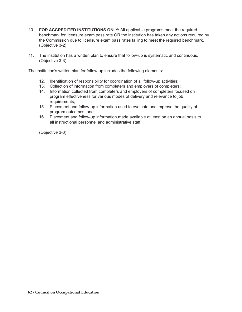- 10. **FOR ACCREDITED INSTITUTIONS ONLY:** All applicable programs meet the required benchmark for licensure exam pass rate OR the institution has taken any actions required by the Commission due to licensure exam pass rates failing to meet the required benchmark. (Objective 3-2)
- 11. The institution has a written plan to ensure that follow-up is systematic and continuous. (Objective 3-3)

The institution's written plan for follow-up includes the following elements:

- 12. Identification of responsibility for coordination of all follow-up activities;
- 13. Collection of information from completers and employers of completers;
- 14. Information collected from completers and employers of completers focused on program effectiveness for various modes of delivery and relevance to job requirements;
- 15. Placement and follow-up information used to evaluate and improve the quality of program outcomes; and,
- 16. Placement and follow-up information made available at least on an annual basis to all instructional personnel and administrative staff.

(Objective 3-3)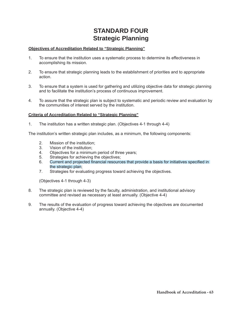# **STANDARD FOUR Strategic Planning**

#### **Objectives of Accreditation Related to "Strategic Planning"**

- 1. To ensure that the institution uses a systematic process to determine its effectiveness in accomplishing its mission.
- 2. To ensure that strategic planning leads to the establishment of priorities and to appropriate action.
- 3. To ensure that a system is used for gathering and utilizing objective data for strategic planning and to facilitate the institution's process of continuous improvement.
- 4. To assure that the strategic plan is subject to systematic and periodic review and evaluation by the communities of interest served by the institution.

# **Criteria of Accreditation Related to "Strategic Planning"**

1. The institution has a written strategic plan. (Objectives 4-1 through 4-4)

The institution's written strategic plan includes, as a minimum, the following components:

- 2. Mission of the institution;
- 3. Vision of the institution;
- 4. Objectives for a minimum period of three years;
- 5. Strategies for achieving the objectives;
- 6. Current and projected financial resources that provide a basis for initiatives specified in the strategic plan;
- 7. Strategies for evaluating progress toward achieving the objectives.

(Objectives 4-1 through 4-3)

- 8. The strategic plan is reviewed by the faculty, administration, and institutional advisory committee and revised as necessary at least annually. (Objective 4-4)
- 9. The results of the evaluation of progress toward achieving the objectives are documented annually. (Objective 4-4)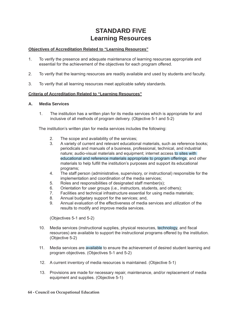# **STANDARD FIVE Learning Resources**

#### **Objectives of Accreditation Related to "Learning Resources"**

- 1. To verify the presence and adequate maintenance of learning resources appropriate and essential for the achievement of the objectives for each program offered.
- 2. To verify that the learning resources are readily available and used by students and faculty.
- 3. To verify that all learning resources meet applicable safety standards.

#### **Criteria of Accreditation Related to "Learning Resources"**

#### **A. Media Services**

 1. The institution has a written plan for its media services which is appropriate for and inclusive of all methods of program delivery. (Objective 5-1 and 5-2)

The institution's written plan for media services includes the following:

- 2. The scope and availability of the services;
- 3. A variety of current and relevant educational materials, such as reference books; periodicals and manuals of a business, professional, technical, and industrial nature; audio-visual materials and equipment; internet access to sites with educational and reference materials appropriate to program offerings; and other materials to help fulfill the institution's purposes and support its educational programs;
- 4. The staff person (administrative, supervisory, or instructional) responsible for the implementation and coordination of the media services;
- 5. Roles and responsibilities of designated staff member(s);
- 6. Orientation for user groups (i.e., instructors, students, and others);
- 7. Facilities and technical infrastructure essential for using media materials;
- 8. Annual budgetary support for the services; and,
- 9. Annual evaluation of the effectiveness of media services and utilization of the results to modify and improve media services.

(Objectives 5-1 and 5-2)

- 10. Media services (instructional supplies, physical resources, technology, and fiscal resources) are available to support the instructional programs offered by the institution. (Objective 5-2)
- 11. Media services are available to ensure the achievement of desired student learning and program objectives. (Objectives 5-1 and 5-2)
- 12. A current inventory of media resources is maintained. (Objective 5-1)
- 13. Provisions are made for necessary repair, maintenance, and/or replacement of media equipment and supplies. (Objective 5-1)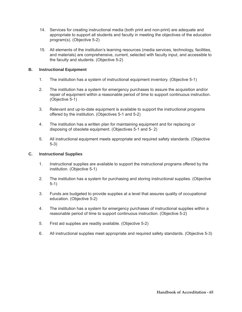- 14. Services for creating instructional media (both print and non-print) are adequate and appropriate to support all students and faculty in meeting the objectives of the education program(s). (Objective 5-2)
- 15. All elements of the institution's learning resources (media services, technology, facilities, and materials) are comprehensive, current, selected with faculty input, and accessible to the faculty and students. (Objective 5-2)

#### **B. Instructional Equipment**

- 1. The institution has a system of instructional equipment inventory. (Objective 5-1)
- 2. The institution has a system for emergency purchases to assure the acquisition and/or repair of equipment within a reasonable period of time to support continuous instruction. (Objective 5-1)
- 3. Relevant and up-to-date equipment is available to support the instructional programs offered by the institution. (Objectives 5-1 and 5-2)
- 4. The institution has a written plan for maintaining equipment and for replacing or disposing of obsolete equipment. (Objectives 5-1 and 5- 2)
- 5. All instructional equipment meets appropriate and required safety standards. (Objective 5-3)

#### **C. Instructional Supplies**

- 1. Instructional supplies are available to support the instructional programs offered by the institution. (Objective 5-1)
- 2. The institution has a system for purchasing and storing instructional supplies. (Objective 5-1)
- 3. Funds are budgeted to provide supplies at a level that assures quality of occupational education. (Objective 5-2)
- 4. The institution has a system for emergency purchases of instructional supplies within a reasonable period of time to support continuous instruction. (Objective 5-2)
- 5. First aid supplies are readily available. (Objective 5-2)
- 6. All instructional supplies meet appropriate and required safety standards. (Objective 5-3)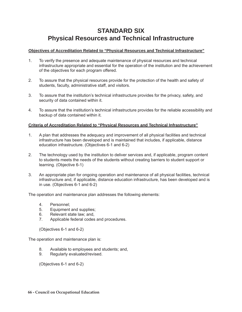# **STANDARD SIX Physical Resources and Technical Infrastructure**

# **Objectives of Accreditation Related to "Physical Resources and Technical Infrastructure"**

- 1. To verify the presence and adequate maintenance of physical resources and technical infrastructure appropriate and essential for the operation of the institution and the achievement of the objectives for each program offered.
- 2. To assure that the physical resources provide for the protection of the health and safety of students, faculty, administrative staff, and visitors.
- 3. To assure that the institution's technical infrastructure provides for the privacy, safety, and security of data contained within it.
- 4. To assure that the institution's technical infrastructure provides for the reliable accessibility and backup of data contained within it.

#### **Criteria of Accreditation Related to "Physical Resources and Technical Infrastructure"**

- 1. A plan that addresses the adequacy and improvement of all physical facilities and technical infrastructure has been developed and is maintained that includes, if applicable, distance education infrastructure. (Objectives 6-1 and 6-2)
- 2. The technology used by the institution to deliver services and, if applicable, program content to students meets the needs of the students without creating barriers to student support or learning. (Objective 6-1)
- 3. An appropriate plan for ongoing operation and maintenance of all physical facilities, technical infrastructure and, if applicable, distance education infrastructure, has been developed and is in use. (Objectives 6-1 and 6-2)

The operation and maintenance plan addresses the following elements:

- 4. Personnel;
- 5. Equipment and supplies;
- 6. Relevant state law; and,
- 7. Applicable federal codes and procedures.

(Objectives 6-1 and 6-2)

The operation and maintenance plan is:

- 8. Available to employees and students; and,
- 9. Regularly evaluated/revised.

(Objectives 6-1 and 6-2)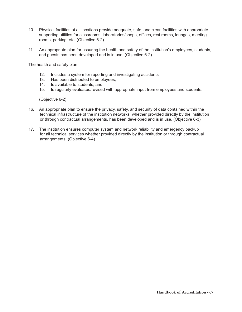- 10. Physical facilities at all locations provide adequate, safe, and clean facilities with appropriate supporting utilities for classrooms, laboratories/shops, offices, rest rooms, lounges, meeting rooms, parking, etc. (Objective 6-2)
- 11. An appropriate plan for assuring the health and safety of the institution's employees, students, and guests has been developed and is in use. (Objective 6-2)

The health and safety plan:

- 12. Includes a system for reporting and investigating accidents;
- 13. Has been distributed to employees;
- 14. Is available to students; and,
- 15. Is regularly evaluated/revised with appropriate input from employees and students.

(Objective 6-2)

- 16. An appropriate plan to ensure the privacy, safety, and security of data contained within the technical infrastructure of the institution networks, whether provided directly by the institution or through contractual arrangements, has been developed and is in use. (Objective 6-3)
- 17. The institution ensures computer system and network reliability and emergency backup for all technical services whether provided directly by the institution or through contractual arrangements. (Objective 6-4)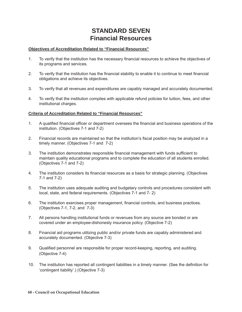# **STANDARD SEVEN Financial Resources**

#### **Objectives of Accreditation Related to "Financial Resources"**

- 1. To verify that the institution has the necessary financial resources to achieve the objectives of its programs and services.
- 2. To verify that the institution has the financial stability to enable it to continue to meet financial obligations and achieve its objectives.
- 3. To verify that all revenues and expenditures are capably managed and accurately documented.
- 4. To verify that the institution complies with applicable refund policies for tuition, fees, and other institutional charges.

# **Criteria of Accreditation Related to "Financial Resources"**

- 1. A qualified financial officer or department oversees the financial and business operations of the institution. (Objectives 7-1 and 7-2)
- 2. Financial records are maintained so that the institution's fiscal position may be analyzed in a timely manner. (Objectives 7-1 and 7-2)
- 3. The institution demonstrates responsible financial management with funds sufficient to maintain quality educational programs and to complete the education of all students enrolled. (Objectives 7-1 and 7-2)
- 4. The institution considers its financial resources as a basis for strategic planning. (Objectives 7-1 and 7-2)
- 5. The institution uses adequate auditing and budgetary controls and procedures consistent with local, state, and federal requirements. (Objectives 7-1 and 7- 2)
- 6. The institution exercises proper management, financial controls, and business practices. (Objectives 7-1, 7-2, and 7-3)
- 7. All persons handling institutional funds or revenues from any source are bonded or are covered under an employee-dishonesty insurance policy. (Objective 7-2)
- 8. Financial aid programs utilizing public and/or private funds are capably administered and accurately documented. (Objective 7-3)
- 9. Qualified personnel are responsible for proper record-keeping, reporting, and auditing. (Objective 7-4)
- 10. The institution has reported all contingent liabilities in a timely manner. (See the definition for 'contingent liability'.) (Objective 7-3)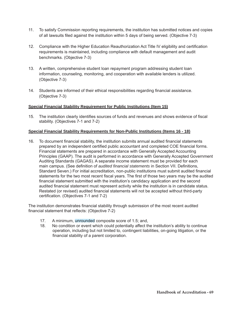- 11. To satisfy Commission reporting requirements, the institution has submitted notices and copies of all lawsuits filed against the institution within 5 days of being served. (Objective 7-3)
- 12. Compliance with the Higher Education Reauthorization Act Title IV eligibility and certification requirements is maintained, including compliance with default management and audit benchmarks. (Objective 7-3)
- 13. A written, comprehensive student loan repayment program addressing student loan information, counseling, monitoring, and cooperation with available lenders is utilized. (Objective 7-3)
- 14. Students are informed of their ethical responsibilities regarding financial assistance. (Objective 7-3)

# **Special Financial Stability Requirement for Public Institutions (Item 15)**

15. The institution clearly identifies sources of funds and revenues and shows evidence of fiscal stability. (Objectives 7-1 and 7-2)

# **Special Financial Stability Requirements for Non-Public Institutions (Items 16 - 18)**

16. To document financial stability, the institution submits annual audited financial statements prepared by an independent certified public accountant and completed COE financial forms. Financial statements are prepared in accordance with Generally Accepted Accounting Principles (GAAP). The audit is performed in accordance with Generally Accepted Government Auditing Standards (GAGAS). A separate income statement must be provided for each main campus. (See definition of *audited financial statements* in Section VII. Definitions, Standard Seven.) For initial accreditation, non-public institutions must submit audited financial statements for the two most recent fiscal years. The first of those two years may be the audited financial statement submitted with the institution's candidacy application and the second audited financial statement must represent activity while the institution is in candidate status. Restated (or revised) audited financial statements will not be accepted without third-party certification. (Objectives 7-1 and 7-2)

The institution demonstrates financial stability through submission of the most recent audited financial statement that reflects: (Objective 7-2)

- 17. A minimum, unrounded composite score of 1.5; and,
- 18. No condition or event which could potentially affect the institution's ability to continue operation, including but not limited to, contingent liabilities, on-going litigation, or the financial stability of a parent corporation.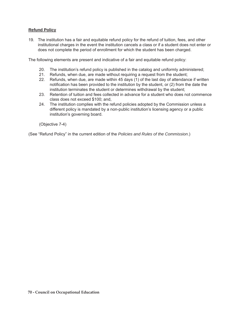# **Refund Policy**

19. The institution has a fair and equitable refund policy for the refund of tuition, fees, and other institutional charges in the event the institution cancels a class or if a student does not enter or does not complete the period of enrollment for which the student has been charged.

The following elements are present and indicative of a fair and equitable refund policy:

- 20. The institution's refund policy is published in the catalog and uniformly administered;
- 21. Refunds, when due, are made without requiring a request from the student;
- 22. Refunds, when due, are made within 45 days (1) of the last day of attendance if written notification has been provided to the institution by the student, or (2) from the date the institution terminates the student or determines withdrawal by the student;
- 23. Retention of tuition and fees collected in advance for a student who does not commence class does not exceed \$100; and,
- 24. The institution complies with the refund policies adopted by the Commission unless a different policy is mandated by a non-public institution's licensing agency or a public institution's governing board.

(Objective 7-4)

(See "Refund Policy" in the current edition of the *Policies and Rules of the Commission*.)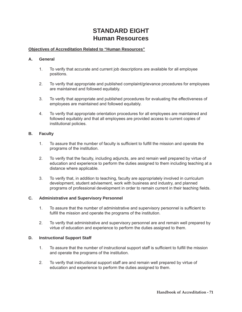# **STANDARD EIGHT Human Resources**

#### **Objectives of Accreditation Related to "Human Resources"**

#### **A. General**

- 1. To verify that accurate and current job descriptions are available for all employee positions.
- 2. To verify that appropriate and published complaint/grievance procedures for employees are maintained and followed equitably.
- 3. To verify that appropriate and published procedures for evaluating the effectiveness of employees are maintained and followed equitably.
- 4. To verify that appropriate orientation procedures for all employees are maintained and followed equitably and that all employees are provided access to current copies of institutional policies.

# **B. Faculty**

- 1. To assure that the number of faculty is sufficient to fulfill the mission and operate the programs of the institution.
- 2. To verify that the faculty, including adjuncts, are and remain well prepared by virtue of education and experience to perform the duties assigned to them including teaching at a distance where applicable.
- 3. To verify that, in addition to teaching, faculty are appropriately involved in curriculum development, student advisement, work with business and industry, and planned programs of professional development in order to remain current in their teaching fields.

# **C. Administrative and Supervisory Personnel**

- 1. To assure that the number of administrative and supervisory personnel is sufficient to fulfill the mission and operate the programs of the institution.
- 2. To verify that administrative and supervisory personnel are and remain well prepared by virtue of education and experience to perform the duties assigned to them.

#### **D. Instructional Support Staff**

- 1. To assure that the number of instructional support staff is sufficient to fulfill the mission and operate the programs of the institution.
- 2. To verify that instructional support staff are and remain well prepared by virtue of education and experience to perform the duties assigned to them.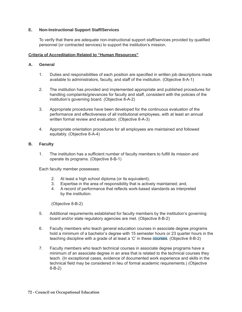# **E. Non-Instructional Support Staff/Services**

To verify that there are adequate non-instructional support staff/services provided by qualified personnel (or contracted services) to support the institution's mission.

#### **Criteria of Accreditation Related to "Human Resources"**

# **A. General**

- 1. Duties and responsibilities of each position are specified in written job descriptions made available to administrators, faculty, and staff of the institution. (Objective 8-A-1)
- 2. The institution has provided and implemented appropriate and published procedures for handling complaints/grievances for faculty and staff, consistent with the policies of the institution's governing board. (Objective 8-A-2)
- 3. Appropriate procedures have been developed for the continuous evaluation of the performance and effectiveness of all institutional employees, with at least an annual written formal review and evaluation. (Objective 8-A-3)
- 4. Appropriate orientation procedures for all employees are maintained and followed equitably. (Objective 8-A-4)

# **B. Faculty**

1. The institution has a sufficient number of faculty members to fulfill its mission and operate its programs. (Objective 8-B-1)

Each faculty member possesses:

- 2. At least a high school diploma (or its equivalent);
- 3. Expertise in the area of responsibility that is actively maintained; and,
- 4. A record of performance that reflects work-based standards as interpreted by the institution.

(Objective 8-B-2)

- 5. Additional requirements established for faculty members by the institution's governing board and/or state regulatory agencies are met. (Objective 8-B-2)
- 6. Faculty members who teach general education courses in associate degree programs hold a minimum of a bachelor's degree with 15 semester hours or 23 quarter hours in the teaching discipline with a grade of at least a 'C' in these courses. (Objective 8-B-2)
- 7. Faculty members who teach technical courses in associate degree programs have a minimum of an associate degree in an area that is related to the technical courses they teach. (In exceptional cases, evidence of documented work experience and skills in the technical field may be considered in lieu of formal academic requirements.) (Objective 8-B-2)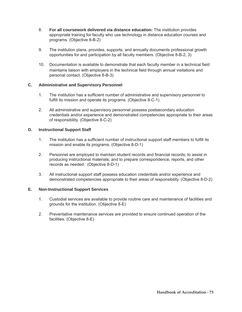- 8. **For all coursework delivered via distance education:** The institution provides appropriate training for faculty who use technology in distance education courses and programs. (Objective 8-B-2)
- 9. The institution plans, provides, supports, and annually documents professional growth opportunities for and participation by all faculty members. (Objective 8-B-2, 3)
- 10. Documentation is available to demonstrate that each faculty member in a technical field maintains liaison with employers in the technical field through annual visitations and personal contact. (Objective 8-B-3)

#### **C. Administrative and Supervisory Personnel**

- 1. The institution has a sufficient number of administrative and supervisory personnel to fulfill its mission and operate its programs. (Objective 8-C-1)
- 2. All administrative and supervisory personnel possess postsecondary education credentials and/or experience and demonstrated competencies appropriate to their areas of responsibility. (Objective 8-C-2)

# **D. Instructional Support Staff**

- 1. The institution has a sufficient number of instructional support staff members to fulfill its mission and enable its programs. (Objective 8-D-1)
- 2. Personnel are employed to maintain student records and financial records; to assist in producing instructional materials; and to prepare correspondence, reports, and other records as needed. (Objective 8-D-1)
- 3. All instructional support staff possess education credentials and/or experience and demonstrated competencies appropriate to their areas of responsibility. (Objective 8-D-2)

#### **E. Non-Instructional Support Services**

- 1. Custodial services are available to provide routine care and maintenance of facilities and grounds for the institution. (Objective 8-E)
- 2. Preventative maintenance services are provided to ensure continued operation of the facilities. (Objective 8-E)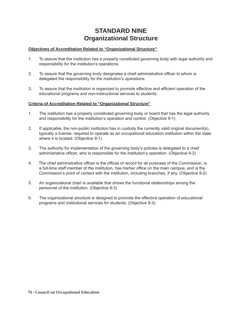# **STANDARD NINE Organizational Structure**

# **Objectives of Accreditation Related to "Organizational Structure"**

- 1. To assure that the institution has a properly constituted governing body with legal authority and responsibility for the institution's operations.
- 2. To assure that the governing body designates a chief administrative officer to whom is delegated the responsibility for the institution's operations.
- 3. To assure that the institution is organized to promote effective and efficient operation of the educational programs and non-instructional services to students.

#### **Criteria of Accreditation Related to "Organizational Structure"**

- 1. The institution has a properly constituted governing body or board that has the legal authority and responsibility for the institution's operation and control. (Objective 9-1)
- 2. If applicable, the non-public institution has in custody the currently valid original document(s), typically a license, required to operate as an occupational education institution within the state where it is located. (Objective 9-1)
- 3. The authority for implementation of the governing body's policies is delegated to a chief administrative officer, who is responsible for the institution's operation. (Objective 9-2)
- 4. The chief administrative officer is the official of record for all purposes of the Commission, is a full-time staff member of the institution, has his/her office on the main campus, and is the Commission's point of contact with the institution, including branches, if any. (Objective 9-2)
- 5. An organizational chart is available that shows the functional relationships among the personnel of the institution. (Objective 9-3)
- 6. The organizational structure is designed to promote the effective operation of educational programs and institutional services for students. (Objective 9-3)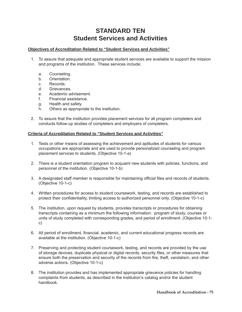# **STANDARD TEN Student Services and Activities**

#### **Objectives of Accreditation Related to "Student Services and Activities"**

- 1. To assure that adequate and appropriate student services are available to support the mission and programs of the institution. These services include:
	- a. Counseling.
	- b. Orientation.
	- c. Records.
	- d. Grievances.
	- e. Academic advisement.
	- f. Financial assistance.
	- g. Health and safety.
	- h. Others as appropriate to the institution.
- 2. To assure that the institution provides placement services for all program completers and conducts follow-up studies of completers and employers of completers.

# **Criteria of Accreditation Related to "Student Services and Activities"**

- 1. Tests or other means of assessing the achievement and aptitudes of students for various occupations are appropriate and are used to provide personalized counseling and program placement services to students. (Objective 10-1-a)
- 2. There is a student orientation program to acquaint new students with policies, functions, and personnel of the institution. (Objective 10-1-b)
- 3. A designated staff member is responsible for maintaining official files and records of students. (Objective 10-1-c)
- 4. Written procedures for access to student coursework, testing, and records are established to protect their confidentiality, limiting access to authorized personnel only. (Objective 10-1-c)
- 5. The institution, upon request by students, provides transcripts or procedures for obtaining transcripts containing as a minimum the following information: program of study, courses or units of study completed with corresponding grades, and period of enrollment. (Objective 10-1 c)
- 6. All period of enrollment, financial, academic, and current educational progress records are available at the institution. (Objective 10-1-c)
- 7. Preserving and protecting student coursework, testing, and records are provided by the use of storage devices, duplicate physical or digital records, security files, or other measures that ensure both the preservation and security of the records from fire, theft, vandalism, and other adverse actions. (Objective 10-1-c)
- 8. The institution provides and has implemented appropriate grievance policies for handling complaints from students, as described in the institution's catalog and/or the student handbook.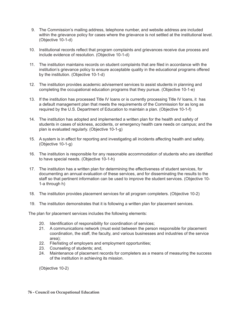- 9. The Commission's mailing address, telephone number, and website address are included within the grievance policy for cases where the grievance is not settled at the institutional level. (Objective 10-1-d)
- 10. Institutional records reflect that program complaints and grievances receive due process and include evidence of resolution. (Objective 10-1-d)
- 11. The institution maintains records on student complaints that are filed in accordance with the institution's grievance policy to ensure acceptable quality in the educational programs offered by the institution. (Objective 10-1-d)
- 12. The institution provides academic advisement services to assist students in planning and completing the occupational education programs that they pursue. (Objective 10-1-e)
- 13. If the institution has processed Title IV loans or is currently processing Title IV loans, it has a default management plan that meets the requirements of the Commission for as long as required by the U.S. Department of Education to maintain a plan. (Objective 10-1-f)
- 14. The institution has adopted and implemented a written plan for the health and safety of students in cases of sickness, accidents, or emergency health care needs on campus; and the plan is evaluated regularly. (Objective 10-1-g)
- 15. A system is in effect for reporting and investigating all incidents affecting health and safety. (Objective 10-1-g)
- 16. The institution is responsible for any reasonable accommodation of students who are identified to have special needs. (Objective 10-1-h)
- 17. The institution has a written plan for determining the effectiveness of student services, for documenting an annual evaluation of these services, and for disseminating the results to the staff so that pertinent information can be used to improve the student services. (Objective 10- 1-a through h)
- 18. The institution provides placement services for all program completers. (Objective 10-2)
- 19. The institution demonstrates that it is following a written plan for placement services.

The plan for placement services includes the following elements:

- 20. Identification of responsibility for coordination of services;
- 21. A communications network (must exist between the person responsible for placement coordination, the staff, the faculty, and various businesses and industries of the service area);
- 22. File/listing of employers and employment opportunities;
- 23. Counseling of students; and,
- 24. Maintenance of placement records for completers as a means of measuring the success of the institution in achieving its mission.

(Objective 10-2)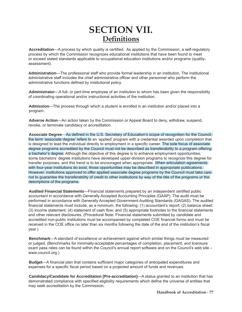# **SECTION VII. Defi nitions**

Accreditation—A process by which quality is certified. As applied by the Commission, a self-regulatory process by which the Commission recognizes educational institutions that have been found to meet or exceed stated standards applicable to occupational education institutions and/or programs (qualityassessment).

**Administration**—The professional staff who provide formal leadership in an institution. The institutional administrative staff includes the chief administrative officer and other personnel who perform the administrative functions defined by institutional policy.

**Administrator**—A full- or part-time employee of an institution to whom has been given the responsibility of coordinating operational and/or instructional activities of the institution.

**Admission**—The process through which a student is enrolled in an institution and/or placed into a program.

**Adverse Action**—An action taken by the Commission or Appeal Board to deny, withdraw, suspend, revoke, or terminate candidacy or accreditation.

Associate Degree—As defined in the U.S. Secretary of Education's scope of recognition for the Council, the term 'associate degree' refers to an 'applied' program with a credential awarded upon completion that is designed to lead the individual directly to employment in a specific career. The sole focus of associate degree programs accredited by the Council must not be described as transferability to a program offering a bachelor's degree. Although the objective of this degree is to enhance employment opportunities, some bachelors' degree institutions have developed upper-division programs to recognize this degree for transfer purposes, and this trend is to be encouraged when appropriate. When articulation agreements with four-year institutions do exist, those opportunities may be described in appropriate publications. However, institutions approved to offer applied associate degree programs by the Council must take care not to guarantee the transferability of credit to other institutions by way of the title of the programs or the descriptions of the programs.

Audited Financial Statements—Financial statements prepared by an independent certified public accountant in accordance with Generally Accepted Accounting Principles (GAAP). The audit must be performed in accordance with Generally Accepted Government Auditing Standards (GAGAS). The audited financial statements must include, as a minimum, the following: (1) accountant's report; (2) balance sheet;  $(3)$  income statement;  $(4)$  statement of cash flow; and  $(5)$  appropriate footnotes to the financial statements and other relevant disclosures. (Procedural Note: Financial statements submitted by candidate and accredited non-public institutions must be accompanied by completed COE financial forms and must be received in the COE office no later than six months following the date of the end of the institution's fiscal year.)

**Benchmark**—A standard of excellence or achievement against which similar things must be measured or judged. (Benchmarks for minimally-acceptable percentages of completion, placement, and licensure exam pass rates can be found within the Council's annual report software and on the Council's web site – www.council.org.)

**Budget—A** financial plan that contains sufficient major categories of anticipated expenditures and expenses for a specific fiscal period based on a projected amount of funds and revenues.

**Candidacy/Candidate for Accreditation [Pre-accreditation]**—A status granted to an institution that has demonstrated compliance with specified eligibility requirements which define the universe of entities that may seek accreditation by the Commission.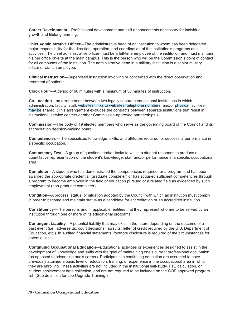**Career Development**—Professional development and skill enhancements necessary for individual growth and lifelong learning.

**Chief Administrative Officer—The administrative head of an institution to whom has been delegated** major responsibility for the direction, operation, and coordination of the institution's programs and activities. The chief administrative officer must be a full-time employee of the institution and must maintain his/her office on-site at the main campus. This is the person who will be the Commission's point of contact for all campuses of the institution. The administrative head in a military institution is a senior military officer or civilian employee.

**Clinical Instruction**—Supervised instruction involving or concerned with the direct observation and treatment of patients.

**Clock Hour**—A period of 60 minutes with a minimum of 50 minutes of instruction.

**Co-Location**—an arrangement between two legally separate educational institutions in which administration, faculty, staff, websites, links to websites, telephone numbers, and/or physical facilities may be shared. (This arrangement excludes the contracts between separate institutions that result in instructional service centers or other Commission-approved partnerships.)

**Commission**—The body of 19 elected members who serve as the governing board of the Council and its accreditation decision-making board.

**Competencies**—The specialized knowledge, skills, and attitudes required for successful performance in a specific occupation.

**Competency Test**—A group of questions and/or tasks to which a student responds to produce a quantitative representation of the student's knowledge, skill, and/or performance in a specific occupational area.

**Completer**—A student who has demonstrated the competencies required for a program and has been awarded the appropriate credential (graduate completer) or has acquired sufficient competencies through a program to become employed in the field of education pursued or a related field as evidenced by such employment (non-graduate completer).

**Condition**—A process, status, or situation adopted by the Council with which an institution must comply in order to become and maintain status as a candidate for accreditation or an accredited institution.

**Constituency**—The persons and, if applicable, entities that they represent who are to be served by an institution through one or more of its educational programs.

**Contingent Liability**—A potential liability that may exist in the future depending on the outcome of a past event (i.e., adverse tax court decisions, lawsuits, letter of credit required by the U.S. Department of Education, etc.). In audited financial statements, footnote disclosure is required of the circumstances for potential loss.

**Continuing Occupational Education**—Educational activities or experiences designed to assist in the development of knowledge and skills with the goal of maintaining one's current professional occupation (as opposed to advancing one's career). Participants in continuing education are assumed to have previously attained a basic level of education, training, or experience in the occupational area in which they are enrolling. These activities are not included in the institutional self-study, FTE calculation, or student achievement data collection, and are not required to be included on the COE approved program list. (See definition for Job Upgrade Training.)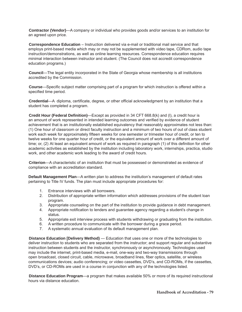**Contractor (Vendor)**—A company or individual who provides goods and/or services to an institution for an agreed upon price.

**Correspondence Education** – Instruction delivered via e-mail or traditional mail service and that employs print-based media which may or may not be supplemented with video tape, CDRom, audio tape instruction/demonstrations, as well as online learning resources. Correspondence education requires minimal interaction between instructor and student. (The Council does not accredit correspondence education programs.)

**Council**—The legal entity incorporated in the State of Georgia whose membership is all institutions accredited by the Commission.

**Course**—Specific subject matter comprising part of a program for which instruction is offered within a specified time period.

**Credential**—A diploma, certificate, degree, or other official acknowledgment by an institution that a student has completed a program.

**Credit Hour (Federal Defi nition)**—Except as provided in 34 CFT 668.8(k) and (l), a credit hour is an amount of work represented in intended learning outcomes and verified by evidence of student achievement that is an institutionally established equivalency that reasonably approximates not less than: (1) One hour of classroom or direct faculty instruction and a minimum of two hours of out of class student work each week for approximately fifteen weeks for one semester or trimester hour of credit, or ten to twelve weeks for one quarter hour of credit, or the equivalent amount of work over a different amount of time; or, (2) At least an equivalent amount of work as required in paragraph (1) of this definition for other academic activities as established by the institution including laboratory work, internships, practica, studio work, and other academic work leading to the award of credit hours.

**Criterion**—A characteristic of an institution that must be possessed or demonstrated as evidence of compliance with an accreditation standard.

**Default Management Plan**—A written plan to address the institution's management of default rates pertaining to Title IV funds. The plan must include appropriate procedures for:

- 1. Entrance interviews with all borrowers.
- 2. Distribution of appropriate written information which addresses provisions of the student loan program.
- 3. Appropriate counseling on the part of the institution to provide guidance in debt management.
- 4. Appropriate notification to lenders and guarantee agency regarding a student's change in status.
- 5. Appropriate exit interview process with students withdrawing or graduating from the institution.
- 6. A written procedure to communicate with the borrower during a grace period.
- 7. A systematic annual evaluation of its default management plan.

**Distance Education [Delivery Method] — Education that uses one or more of the technologies to** deliver instruction to students who are separated from the instructor; and support regular and substantive instruction between students and the instructor, synchronously or asynchronously. Technologies used may include the internet, print-based media, e-mail, one-way and two-way transmissions through open broadcast, closed circuit, cable, microwave, broadband lines, fiber optics, satellite, or wireless communications devices; audio conferencing; or video cassettes, DVD's, and CD-ROMs, if the cassettes, DVD's, or CD-ROMs are used in a course in conjunction with any of the technologies listed.

**Distance Education Program**—a program that makes available 50% or more of its required instructional hours via distance education.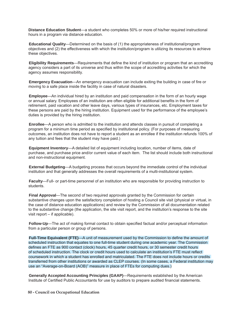**Distance Education Student**—a student who completes 50% or more of his/her required instructional hours in a program via distance education.

**Educational Quality**—Determined on the basis of (1) the appropriateness of institutional/program objectives and (2) the effectiveness with which the institution/program is utilizing its resources to achieve these objectives.

**Eligibility Requirements**—Requirements that define the kind of institution or program that an accrediting agency considers a part of its universe and thus within the scope of accrediting activities for which the agency assumes responsibility.

**Emergency Evacuation—An** emergency evacuation can include exiting the building in case of fire or moving to a safe place inside the facility in case of natural disasters.

**Employee**—An individual hired by an institution and paid compensation in the form of an hourly wage or annual salary. Employees of an institution are often eligible for additional benefits in the form of retirement, paid vacation and other leave days, various types of insurances, etc. Employment taxes for these persons are paid by the hiring institution. Equipment used for the performance of the employee's duties is provided by the hiring institution.

**Enrollee**—A person who is admitted to the institution and attends classes in pursuit of completing a program for a minimum time period as specified by institutional policy. (For purposes of measuring outcomes, an institution does not have to report a student as an enrollee if the institution refunds 100% of any tuition and fees that the student may have paid.)

**Equipment Inventory**—A detailed list of equipment including location, number of items, date of purchase, and purchase price and/or current value of each item. The list should include both instructional and non-instructional equipment.

**External Budgeting**—A budgeting process that occurs beyond the immediate control of the individual institution and that generally addresses the overall requirements of a multi-institutional system.

**Faculty**—Full- or part-time personnel of an institution who are responsible for providing instruction to students.

**Final Approval**—The second of two required approvals granted by the Commission for certain substantive changes upon the satisfactory completion of hosting a Council site visit (physical or virtual, in the case of distance education applications) and review by the Commission of all documentation related to the substantive change (the application, the site visit report, and the institution's response to the site visit report – if applicable).

**Follow-Up—The act of making formal contact to obtain specified factual and/or perceptual information** from a particular person or group of persons.

**Full-Time Equivalent (FTE)—A** unit of measurement used by the Commission to define the amount of scheduled instruction that equates to one full-time student during one academic year. The Commission defines an FTE as 900 contact (clock) hours, 45 quarter credit hours, or 30 semester credit hours of scheduled instruction. The clock or credit hours used to calculate an institution's FTE must reflect coursework in which a student has enrolled and matriculated. The FTE does not include hours or credits transferred from other institutions or awarded as CLEP courses. (In some cases, a Federal institution may use an "Average-on-Board (AOB)" measure in place of FTEs for computing dues.)

**Generally Accepted Accounting Principles (GAAP)**—Requirements established by the American Institute of Certified Public Accountants for use by auditors to prepare audited financial statements.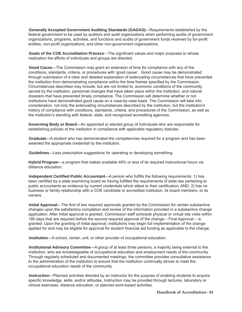**Generally Accepted Government Auditing Standards (GAGAS)**—Requirements established by the federal government to be used by auditors and audit organizations when performing audits of government organizations, programs, activities, and functions and audits of government funds received by for-profit entities, non-profit organizations, and other non-government organizations.

**Goals of the COE Accreditation Process—The significant values and major purposes to whose** realization the efforts of individuals and groups are directed.

**Good Cause**—The Commission may grant an extension of time for compliance with any of the conditions, standards, criteria, or procedures with 'good cause'. Good cause may be demonstrated through submission of a clear and detailed explanation of extenuating circumstances that have prevented the institution from demonstrating compliance within the time frames specified by the Commission. Circumstances described may include, but are not limited to, economic conditions of the community served by the institution, personnel changes that have taken place within the institution, and natural disasters that have prevented timely compliance. The Commission will determine whether or not institutions have demonstrated good cause on a case-by-case basis. The Commission will take into consideration, not only the extenuating circumstances described by the institution, but the institution's history of compliance with conditions, standards, criteria, and procedures of the Commission, as well as the institution's standing with federal, state, and recognized accrediting agencies.

**Governing Body or Board**—An appointed or elected group of individuals who are responsible for establishing policies of the institution in compliance with applicable regulatory statutes.

**Graduate**—A student who has demonstrated the competencies required for a program and has been awarded the appropriate credential by the institution.

**Guidelines**—Less prescriptive suggestions for operating or developing something.

**Hybrid Program**—a program that makes available 49% or less of its required instructional hours via distance education.

**Independent Certified Public Accountant—A person who fulfills the following requirements: 1) has** been certified by a state examining board as having fulfilled the requirements of state law pertaining to public accountants as evidence by current credentials which attest to their certification; AND, 2) has no business or family relationship with a COE candidate or accredited institution, its board members, or its owners.

**Initial Approval**—The first of two required approvals granted by the Commission for certain substantive changes upon the satisfactory completion and review of the information provided in a substantive change application. After initial approval is granted, Commission staff schedule physical or virtual site visits within 180 days that are required before the second required approval of the change – Final Approval – is granted. Upon the granting of initial approval, institutions may begin full implementation of the change applied for and may be eligible for approval for student financial aid funding as applicable to the change.

**Institution**—A school, center, unit, or other provider of occupational education.

**Institutional Advisory Committee**—A group of at least three persons, a majority being external to the institution, who are knowledgeable of occupational education and employment needs of the community. Through regularly scheduled and documented meetings, the committee provides consultative assistance to the administration of the institution to ensure that the institution continually strives to meet the occupational education needs of the community.

**Instruction**—Planned activities directed by an instructor for the purpose of enabling students to acquire specific knowledge, skills, and/or attitudes. Instruction may be provided through lectures, laboratory or clinical exercises, distance education, or planned work-based activities.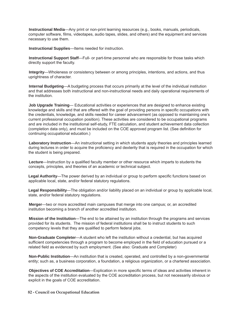**Instructional Media**—Any print or non-print learning resources (e.g., books, manuals, periodicals, computer software, films, videotapes, audio tapes, slides, and others) and the equipment and services necessary to use them.

**Instructional Supplies**—Items needed for instruction.

**Instructional Support Staff**—Full- or part-time personnel who are responsible for those tasks which directly support the faculty.

**Integrity**—Wholeness or consistency between or among principles, intentions, and actions, and thus uprightness of character.

**Internal Budgeting**—A budgeting process that occurs primarily at the level of the individual institution and that addresses both instructional and non-instructional needs and daily operational requirements of the institution.

**Job Upgrade Training—** Educational activities or experiences that are designed to enhance existing knowledge and skills and that are offered with the goal of providing persons in specific occupations with the credentials, knowledge, and skills needed for career advancement (as opposed to maintaining one's current professional occupation position). These activities are considered to be occupational programs and are included in the institutional self-study, FTE calculation, and student achievement data collection (completion data only), and must be included on the COE approved program list. (See definition for continuing occupational education.)

**Laboratory Instruction**—An instructional setting in which students apply theories and principles learned during lectures in order to acquire the proficiency and dexterity that is required in the occupation for which the student is being prepared.

**Lecture**—Instruction by a qualified faculty member or other resource which imparts to students the concepts, principles, and theories of an academic or technical subject.

**Legal Authority—The power derived by an individual or group to perform specific functions based on** applicable local, state, and/or federal statutory regulations.

**Legal Responsibility**—The obligation and/or liability placed on an individual or group by applicable local, state, and/or federal statutory regulations.

**Merger**—two or more accredited main campuses that merge into one campus; or, an accredited institution becoming a branch of another accredited institution.

**Mission of the Institution**—The end to be attained by an institution through the programs and services provided for its students. The mission of federal institutions shall be to instruct students to such competency levels that they are qualified to perform federal jobs.

**Non-Graduate Completer**—A student who left the institution without a credential, but has acquired sufficient competencies through a program to become employed in the field of education pursued or a related field as evidenced by such employment. (See also: Graduate and Completer)

**Non-Public Institution**—An institution that is created, operated, and controlled by a non-governmental entity; such as, a business corporation, a foundation, a religious organization, or a chartered association.

Objectives of COE Accreditation—Explication in more specific terms of ideas and activities inherent in the aspects of the institution evaluated by the COE accreditation process, but not necessarily obvious or explicit in the goals of COE accreditation.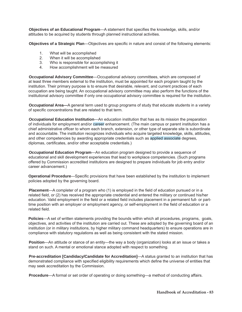**Objectives of an Educational Program—A** statement that specifies the knowledge, skills, and/or attitudes to be acquired by students through planned instructional activities.

**Objectives of a Strategic Plan—Objectives are specific in nature and consist of the following elements:** 

- 1. What will be accomplished
- 2. When it will be accomplished
- 3. Who is responsible for accomplishing it
- 4. How accomplishment will be measured

**Occupational Advisory Committee**—Occupational advisory committees, which are composed of at least three members external to the institution, must be appointed for each program taught by the institution. Their primary purpose is to ensure that desirable, relevant, and current practices of each occupation are being taught. An occupational advisory committee may also perform the functions of the institutional advisory committee if only one occupational advisory committee is required for the institution.

**Occupational Area—**A general term used to group programs of study that educate students in a variety of specific concentrations that are related to that term.

**Occupational Education Institution**—An education institution that has as its mission the preparation of individuals for employment and/or career enhancement. (The main campus or parent institution has a chief administrative officer to whom each branch, extension, or other type of separate site is subordinate and accountable. The institution recognizes individuals who acquire targeted knowledge, skills, attitudes, and other competencies by awarding appropriate credentials such as applied associate degrees, diplomas, certificates, and/or other acceptable credentials.)

**Occupational Education Program**—An education program designed to provide a sequence of educational and skill development experiences that lead to workplace competencies. (Such programs offered by Commission accredited institutions are designed to prepare individuals for job entry and/or career advancement.)

**Operational Procedure—Specific provisions that have been established by the institution to implement** policies adopted by the governing board.

**Placement**—A completer of a program who (1) is employed in the field of education pursued or in a related field, or (2) has received the appropriate credential and entered the military or continued his/her education. Valid employment in the field or a related field includes placement in a permanent full- or parttime position with an employer or employment agency, or self-employment in the field of education or a related field.

**Policies**—A set of written statements providing the bounds within which all procedures, programs, goals, objectives, and activities of the institution are carried out. These are adopted by the governing board of an institution (or in military institutions, by higher military command headquarters) to ensure operations are in compliance with statutory regulations as well as being consistent with the stated mission.

**Position**—An attitude or stance of an entity—the way a body (organization) looks at an issue or takes a stand on such. A mental or emotional stance adopted with respect to something.

**Pre-accreditation [Candidacy/Candidate for Accreditation]**—A status granted to an institution that has demonstrated compliance with specified eligibility requirements which define the universe of entities that may seek accreditation by the Commission.

**Procedure**—A formal or set order of operating or doing something—a method of conducting affairs.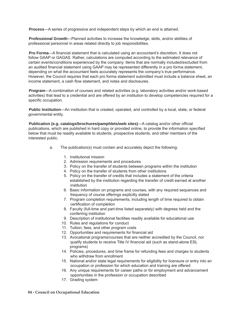**Process**—A series of progressive and independent steps by which an end is attained.

**Professional Growth**—Planned activities to increase the knowledge, skills, and/or abilities of professional personnel in areas related directly to job responsibilities.

**Pro Forma—A** financial statement that is calculated using an accountant's discretion. It does not follow GAAP or GAGAS. Rather, calculations are computed according to the estimated relevance of certain events/conditions experienced by the company. Items that are normally included/excluded from an audited financial statement using GAAP may be represented differently in a pro forma statement, depending on what the accountant feels accurately represents the company's true performance. However, the Council requires that each pro forma statement submitted must include a balance sheet, an income statement, a cash flow statement, and notes and disclosures.

**Program**—A combination of courses and related activities (e.g. laboratory activities and/or work-based activities) that lead to a credential and are offered by an institution to develop competencies required for a specific occupation.

**Public Institution**—An institution that is created, operated, and controlled by a local, state, or federal governmental entity.

**Publication (e.g. catalogs/brochures/pamphlets/web sites)—A catalog and/or other official** publications, which are published in hard copy or provided online, to provide the information specified below that must be readily available to students, prospective students, and other members of the interested public.

- a. The publication(s) must contain and accurately depict the following:
	- 1. Institutional mission
	- 2. Admission requirements and procedures
	- 3. Policy on the transfer of students between programs within the institution
	- 4. Policy on the transfer of students from other institutions
	- 5. Policy on the transfer of credits that includes a statement of the criteria established by the institution regarding the transfer of credit earned at another institution
	- 6. Basic information on programs and courses, with any required sequences and frequency of course offerings explicitly stated
	- 7. Program completion requirements, including length of time required to obtain certification of completion
	- 8. Faculty (full-time and part-time listed separately) with degrees held and the conferring institution
	- 9. Description of institutional facilities readily available for educational use
	- 10. Rules and regulations for conduct
	- 11. Tuition, fees, and other program costs
	- 12. Opportunities and requirements for financial aid
	- 13. Avocational programs/courses that are neither accredited by the Council, nor qualify students to receive Title IV financial aid (such as stand-alone ESL programs)
	- 14. Policies, procedures, and time frame for refunding fees and charges to students who withdraw from enrollment
	- 15. National and/or state legal requirements for eligibility for licensure or entry into an occupation or profession for which education and training are offered
	- 16. Any unique requirements for career paths or for employment and advancement opportunities in the profession or occupation described
	- 17. Grading system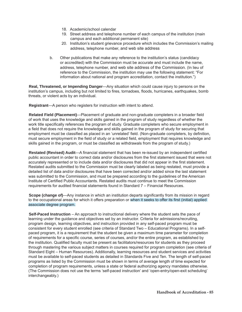- 18. Academic/school calendar
- 19. Street address and telephone number of each campus of the institution (main campus and each additional permanent site)
- 20. Institution's student grievance procedure which includes the Commission's mailing address, telephone number, and web site address
- b. Other publications that make any reference to the institution's status (candidacy or accredited) with the Commission must be accurate and must include the name, address, telephone number, and web site address of the Commission. (In lieu of reference to the Commission, the institution may use the following statement: "For information about national and program accreditation, contact the institution.")

**Real, Threatened, or Impending Danger**—Any situation which could cause injury to persons on the institution's campus, including but not limited to fires, tornadoes, floods, hurricanes, earthquakes, bomb threats, or violent acts by an individual.

**Registrant**—A person who registers for instruction with intent to attend.

Related Field (Placement)—Placement of graduate and non-graduate completers in a broader field of work that uses the knowledge and skills gained in the program of study regardless of whether the work title specifically references the program of study. Graduate completers who secure employment in a field that does not require the knowledge and skills gained in the program of study for securing that employment must be classified as placed in an 'unrelated' field. (Non-graduate completers, by definition, must secure employment in the field of study or a related field, employment that requires knowledge and skills gained in the program, or must be classified as withdrawals from the program of study.)

**Restated (Revised) Audit—A financial statement that has been re-issued by an independent certified** public accountant in order to correct data and/or disclosures from the first statement issued that were not accurately represented or to include data and/or disclosures that did not appear in the first statement. Restated audits submitted to the Commission must be clearly labeled as being restated, must provide a detailed list of data and/or disclosures that have been corrected and/or added since the last statement was submitted to the Commission, and must be prepared according to the guidelines of the American Institute of Certified Public Accountants. Restated audits must continue to meet the Commission requirements for audited financial statements found in Standard 7 – Financial Resources.

**Scope (change of)—Any instance in which an institution departs significantly from its mission in regard** to the occupational areas for which it offers preparation or when it seeks to offer its first (initial) applied associate degree program.

**Self-Paced Instruction** – An approach to instructional delivery where the student sets the pace of learning under the guidance and objectives set by an instructor. Criteria for admissions/recruiting, program design, learning objectives, and instruction provided in any self-paced program must be consistent for every student enrolled (see criteria of Standard Two – Educational Programs). In a selfpaced program, it is a requirement that the student be given a maximum time parameter for completion of requirements for a specific course, series of courses, and/or the entire program, as established by the institution. Qualified faculty must be present as facilitators/resources for students as they proceed through mastering the various subject matters in courses required for program completion (see criteria of Standard Eight – Human Resources). Additionally, learning resources and student services and activities must be available to self-paced students as detailed in Standards Five and Ten. The length of self-paced programs as listed by the Commission must be shown in terms of average length of time expected for completion of program requirements, unless a state or federal authorizing agency mandates otherwise. (The Commission does not use the terms 'self-paced instruction' and 'open-entry/open-exit scheduling' interchangeably.)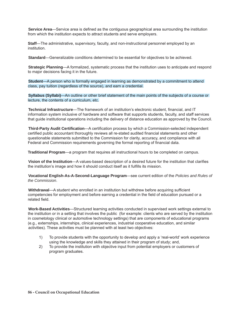**Service Area**—Service area is defined as the contiguous geographical area surrounding the institution from which the institution expects to attract students and serve employers.

**Staff**—The administrative, supervisory, faculty, and non-instructional personnel employed by an institution.

**Standard**—Generalizable conditions determined to be essential for objectives to be achieved.

**Strategic Planning**—A formalized, systematic process that the institution uses to anticipate and respond to major decisions facing it in the future.

**Student**—A person who is formally engaged in learning as demonstrated by a commitment to attend class, pay tuition (regardless of the source), and earn a credential.

**Syllabus (Syllabi)**—An outline or other brief statement of the main points of the subjects of a course or lecture, the contents of a curriculum, etc.

**Technical Infrastructure—The framework of an institution's electronic student, financial, and IT** information system inclusive of hardware and software that supports students, faculty, and staff services that guide institutional operations including the delivery of distance education as approved by the Council.

**Third-Party Audit Certification—A certification process by which a Commission-selected independent** certified public accountant thoroughly reviews all re-stated audited financial statements and other questionable statements submitted to the Commission for clarity, accuracy, and compliance with all Federal and Commission requirements governing the formal reporting of financial data.

**Traditional Program**—a program that requires all instructional hours to be completed on campus.

**Vision of the Institution—A** values-based description of a desired future for the institution that clarifies the institution's image and how it should conduct itself as it fulfills its mission.

**Vocational English-As-A-Second-Language Program**—see current edition of the *Policies and Rules of the Commission*.

**Withdrawal—A** student who enrolled in an institution but withdrew before acquiring sufficient competencies for employment and before earning a credential in the field of education pursued or a related field.

**Work-Based Activities**—Structured learning activities conducted in supervised work settings external to the institution or in a setting that involves the public (for example: clients who are served by the institution in cosmetology clinical or automotive technology settings) that are components of educational programs (e.g., externships, internships, clinical experiences, industrial cooperative education, and similar activities). These activities must be planned with at least two objectives:

- 1) To provide students with the opportunity to develop and apply a 'real-world' work experience using the knowledge and skills they attained in their program of study; and,
- 2) To provide the institution with objective input from potential employers or customers of program graduates.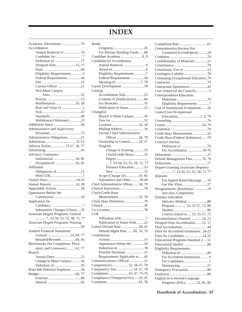# **INDEX**

| Academic Advisement 76              |
|-------------------------------------|
| Accreditation                       |
| Annual Renewal of  10               |
|                                     |
| Definition of 77                    |
| Dropped from15, 17                  |
|                                     |
| Eligibility Requirements 9          |
| Federal Requirements 44             |
|                                     |
| Liaison Officer 21                  |
| Non-Main Campus                     |
|                                     |
|                                     |
|                                     |
| Reaffirmation 10, 28                |
| Role and Value of 1                 |
|                                     |
|                                     |
| Withdrawal (Voluntary) 23           |
| Additional Space36                  |
| Administrative and Supervisory      |
|                                     |
| Administrative Obligations21        |
|                                     |
| Adverse Action 15-17, 30, 77        |
|                                     |
| <b>Advisory Committee</b>           |
|                                     |
| Occupational 56, 82                 |
| Affiliation                         |
| Obligations of21                    |
|                                     |
|                                     |
| Annual Reports 14, 28               |
|                                     |
| Appealable Actions 18               |
| Appearance Before the               |
|                                     |
| Application for                     |
|                                     |
| Substantive Changes (Chart)32       |
| Associate Degree Programs, General  |
| 7, 33-34, 53, 55, 58, 72, 77        |
| Associate Degree Programs, Nursing  |
|                                     |
| <b>Audited Financial Statements</b> |
| General14, 69, 77                   |
| Restated/Revised69, 85              |
| Benchmarks (for Completion, Place   |
| ment, and Licensure)61, 77          |
| <b>Branch</b>                       |
| Annual Dues25                       |
| Change to Main Campus36             |
|                                     |
| Bona fide Potential Employer 54     |
|                                     |
|                                     |
|                                     |
|                                     |

| <b>Bonds</b>                       |
|------------------------------------|
|                                    |
| For Persons Handing Funds68        |
| Candidate Academy 8, 9             |
| Candidate for Accreditation        |
|                                    |
|                                    |
| Eligibility Requirements 7         |
| Federal Requirements 44            |
| Meaning of 7, 78                   |
| Career Development 78              |
| Catalog                            |
| Accreditation Seal22               |
| Contents of (Publications)84       |
| For Branches 35                    |
| Publication of Status 22           |
| Change(s)                          |
| Branch to Main Campus 36           |
|                                    |
| Location 32, 38                    |
| Mailing Address34                  |
| On-site Chief Administrative       |
| Officer 34, 78                     |
| Ownership or Control 32, 37        |
| Program                            |
| Change in Existing33               |
| Clock/Credit Hours 33              |
|                                    |
| 7, 33-34, 53, 55, 58, 72, 77       |
| Distance Education 33              |
|                                    |
| Scope (Change of)33, 85            |
| Substantive and Other 29-40        |
| Chief Administrative Officer34, 78 |
|                                    |
| Clock/Credit Hour                  |
| Measurement55, 78                  |
| Clock Hour Definition78            |
|                                    |
|                                    |
| <b>COE</b>                         |
| Affiliation with<br>7              |
| Publication of Status With 22      |
| Cohort Default Rate 28, 45         |
| Default Mgmt Plan69, 76, 79        |
| Commission                         |
|                                    |
| Appearance before the 18           |
|                                    |
| Possible Decisions 15              |
| Requirements Applicable to 45      |
| Communications, Official 21        |
| Competencies 52, 56-57, 78         |
| Competency Test54, 57, 78          |
| Complaints  43, 47, 75-76          |
| Compliance (Timeperiod for) 16, 45 |
|                                    |
|                                    |

| Comprehensive Review (for                                        |
|------------------------------------------------------------------|
| Continued Accreditation)28                                       |
|                                                                  |
| Confidentiality of Materials21                                   |
|                                                                  |
| Consultants, Use of 13                                           |
| Contingent Liability78                                           |
| Continuing Occupational Education.79                             |
|                                                                  |
| Contractual Agreements42                                         |
| Core Values (of the Council)3                                    |
| Correspondence Education                                         |
|                                                                  |
| Eligibility Requirements7<br>Cost of Institutional Evaluations26 |
|                                                                  |
| Council (on Occupational                                         |
| Education)1, 3, 79                                               |
|                                                                  |
|                                                                  |
| Credit Hour Measurement55                                        |
| Credit Hour (Federal Definition) 79                              |
| Criteria/Criterion                                               |
|                                                                  |
| For Accreditation  50-76                                         |
|                                                                  |
|                                                                  |
|                                                                  |
| Default Management Plan76, 79                                    |
|                                                                  |
| Degree-Granting (Associate Degrees)                              |
| 7, 33-34, 53, 55, 58, 72, 77<br>Deposits                         |
| For Appeal Board Hearings 19                                     |
|                                                                  |
| Disagreements, Resolution 19                                     |
| (see also, Complaints)                                           |
| <b>Distance Education</b>                                        |
| Delivery Method 80                                               |
| Program 53, 55-57, 73, 80                                        |
|                                                                  |
| Criteria related to  53, 55-57, 73                               |
| Documentation (Annual) 14, 21                                    |
| Dropped from Accreditation 15, 17                                |
| Dual Accreditation 44                                            |
| Dues for Accredited Institutions . 24-25                         |
| Dues for Candidates 24-25                                        |
| Educational Programs-Standard 251                                |
|                                                                  |
| <b>Eligibility Requirements</b>                                  |
|                                                                  |
| For Accredited Institutions9                                     |
| For Candidates 7                                                 |
| Maintaining27                                                    |
| Emergency Evacuation 80                                          |
|                                                                  |
| English-as-a-Second-Language<br>Programs (ESL) 52, 85, 86        |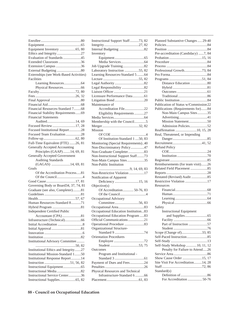| Equipment Inventory 65, 80              |  |
|-----------------------------------------|--|
| Ethics and Integrity27                  |  |
| Evaluation of Standards 45              |  |
| Extended Classroom 36                   |  |
| Extension Campus 36                     |  |
|                                         |  |
| Externships (see Work-Based Activities) |  |
| <b>Facilities</b>                       |  |
|                                         |  |
|                                         |  |
|                                         |  |
|                                         |  |
|                                         |  |
|                                         |  |
| Financial Resources-Standard 768        |  |
| Financial Stability Requirements69      |  |
| <b>Financial Statements</b>             |  |
|                                         |  |
|                                         |  |
| Focused Review17, 28                    |  |
| Focused Institutional Report28          |  |
| Focused Team Evaluation 28              |  |
|                                         |  |
| Full-Time Equivalent (FTE) 26, 81       |  |
| <b>Generally Accepted Accounting</b>    |  |
| Principles (GAAP)14, 69, 81             |  |
| <b>Generally Accepted Government</b>    |  |
| <b>Auditing Standards</b>               |  |
| (GAGAS) 14, 69, 81                      |  |
| Goals                                   |  |
| Of the Accreditation Process81          |  |
|                                         |  |
| Good Cause17, 81                        |  |
| Governing Body or Board34, 37, 74, 81   |  |
| Graduate (see also, Completer)81        |  |
|                                         |  |
|                                         |  |
| Human Resources-Standard 871            |  |
|                                         |  |
| <b>Independent Certified Public</b>     |  |
| Accountant (CPA)81                      |  |
| Infrastructure (Technical)66            |  |
|                                         |  |
|                                         |  |
|                                         |  |
|                                         |  |
| Institutional Advisory Committee        |  |
|                                         |  |
| Institutional Ethics and Integrity27    |  |
| Institutional Mission-Standard 150      |  |
| Institutional Response Report14         |  |
|                                         |  |
|                                         |  |
|                                         |  |
| Instructional Service Center36          |  |
|                                         |  |
| Instructional Supplies65, 82            |  |

| Instructional Support Staff73, 82    |
|--------------------------------------|
|                                      |
| Internal Budgeting 82                |
| Inventory                            |
|                                      |
|                                      |
| Job Upgrade Training82               |
| Laboratory Instruction 55, 82        |
| Learning Resources-Standard 5 64     |
|                                      |
|                                      |
| Legal Responsibility 82              |
|                                      |
| Licensure Performance Data61         |
|                                      |
| Maintenance of                       |
| Accreditation File22                 |
| Eligibility Requirements 27          |
|                                      |
| Membership with the Council5         |
|                                      |
|                                      |
| Mission                              |
|                                      |
| Of Institution-Standard 1 50, 83     |
| Monitoring (Special Requirements)40  |
| Non-Discriminatory Policy47          |
| Non-Graduate Completer83             |
| Non-Instructional Support Staff73    |
| Non-Main Campus Sites35              |
| Non-Public Institution               |
|                                      |
| Non-Restrictive Violation 17         |
| Notification of Apparent             |
| Deficiency 15, 16                    |
| Objective(s)                         |
| Of Accreditation 50-76, 83           |
|                                      |
|                                      |
| Occupational Advisory                |
|                                      |
|                                      |
|                                      |
| Occupational Education Institution83 |
| Occupational Education Program 83    |
| Official Communications21            |
| Operational Procedure 83             |
| Organizational Structure-            |
|                                      |
| <b>Orientation Procedures</b>        |
|                                      |
|                                      |
| Outcomes                             |
| Program and Institutional -          |
|                                      |
| Payment of Dues and Fees24           |
|                                      |
| Physical Resources and Technical     |
| Infrastructure-Standard 6 66         |

| Planned Substantive Changes  29-40    |
|---------------------------------------|
|                                       |
|                                       |
| Pre-accreditation (Candidacy) 7, 84   |
|                                       |
|                                       |
|                                       |
| Professional Growth73, 84             |
|                                       |
|                                       |
| Distance Education 80                 |
|                                       |
|                                       |
|                                       |
|                                       |
| Publication of Status w/Commission 22 |
| Publications (Requirements for)84     |
| Non-Main Campus Sites35               |
|                                       |
| Mission Statement50                   |
|                                       |
| Admission Policies52                  |
| Reaffirmation 10, 15, 28              |
| Real, Threatened, or Impending        |
|                                       |
|                                       |
| <b>Refund Policy</b>                  |
|                                       |
|                                       |
|                                       |
| Reimbursements (for team visit)26     |
| Related Field Placement 85            |
|                                       |
| Restated (Revised) Audit 85           |
| Restrictive Violation 17              |
| Resources                             |
|                                       |
|                                       |
|                                       |
|                                       |
| Safety                                |
| <b>Instructional Equipment</b>        |
|                                       |
|                                       |
| Part of Instruction 57                |
|                                       |
| Scope (Change of)33, 85               |
|                                       |
|                                       |
| Self-Study Workshop 10, 11, 12        |
| Penalty for Failure to Attend26       |
|                                       |
| Show Cause Order 15, 17               |
|                                       |
| Site Visit For Accreditation14, 28    |
|                                       |
| Standard(s)                           |
|                                       |
| For Accreditation  50-76              |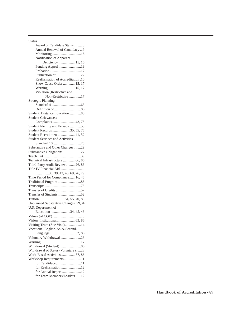#### Status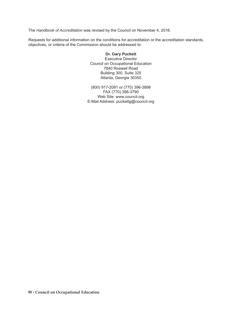The *Handbook of Accreditation* was revised by the Council on November 4, 2016.

Requests for additional information on the conditions for accreditation or the accreditation standards, objectives, or criteria of the Commission should be addressed to:

# **Dr. Gary Puckett**

Executive Director Council on Occupational Education 7840 Roswell Road Building 300, Suite 325 Atlanta, Georgia 30350

(800) 917-2081 or (770) 396-3898 FAX (770) 396-3790 Web Site: www.council.org E-Mail Address: puckettg@council.org